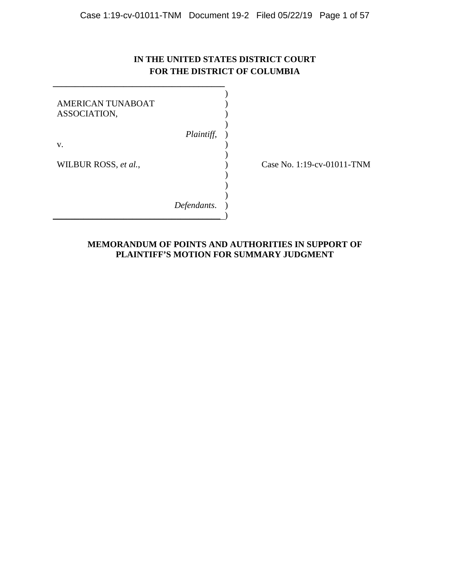# **IN THE UNITED STATES DISTRICT COURT FOR THE DISTRICT OF COLUMBIA**

| AMERICAN TUNABOAT<br>ASSOCIATION, |             |  |
|-----------------------------------|-------------|--|
| v.                                | Plaintiff,  |  |
| WILBUR ROSS, et al.,              |             |  |
|                                   | Defendants. |  |

**\_\_\_\_\_\_\_\_\_\_\_\_\_\_\_\_\_\_\_\_\_\_\_\_\_\_\_\_\_\_\_\_\_\_\_\_\_\_\_** 

Case No. 1:19-cv-01011-TNM

# **MEMORANDUM OF POINTS AND AUTHORITIES IN SUPPORT OF PLAINTIFF'S MOTION FOR SUMMARY JUDGMENT**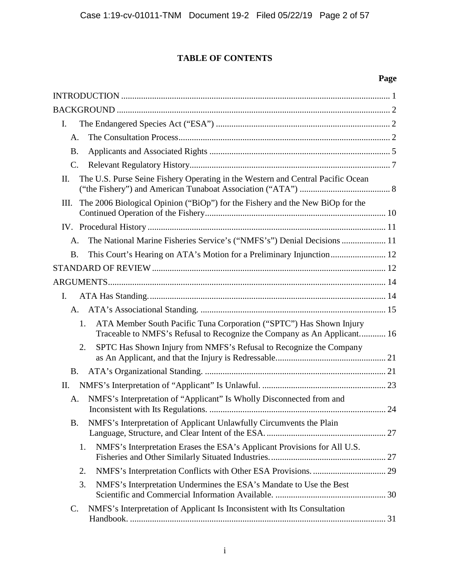# **TABLE OF CONTENTS**

# **Page**

| I.              |                                                                                                                                                |  |
|-----------------|------------------------------------------------------------------------------------------------------------------------------------------------|--|
| A.              |                                                                                                                                                |  |
| <b>B.</b>       |                                                                                                                                                |  |
| $\mathcal{C}$ . |                                                                                                                                                |  |
| II.             | The U.S. Purse Seine Fishery Operating in the Western and Central Pacific Ocean                                                                |  |
| Ш.              | The 2006 Biological Opinion ("BiOp") for the Fishery and the New BiOp for the                                                                  |  |
|                 |                                                                                                                                                |  |
| A.              | The National Marine Fisheries Service's ("NMFS's") Denial Decisions  11                                                                        |  |
| <b>B.</b>       |                                                                                                                                                |  |
|                 |                                                                                                                                                |  |
|                 |                                                                                                                                                |  |
| Ι.              |                                                                                                                                                |  |
| $A_{1}$         |                                                                                                                                                |  |
| 1.              | ATA Member South Pacific Tuna Corporation ("SPTC") Has Shown Injury<br>Traceable to NMFS's Refusal to Recognize the Company as An Applicant 16 |  |
| 2.              | SPTC Has Shown Injury from NMFS's Refusal to Recognize the Company                                                                             |  |
| <b>B.</b>       |                                                                                                                                                |  |
| II.             |                                                                                                                                                |  |
| A.              | NMFS's Interpretation of "Applicant" Is Wholly Disconnected from and                                                                           |  |
| <b>B.</b>       | NMFS's Interpretation of Applicant Unlawfully Circumvents the Plain                                                                            |  |
| 1.              | NMFS's Interpretation Erases the ESA's Applicant Provisions for All U.S.                                                                       |  |
| 2.              |                                                                                                                                                |  |
| 3.              | NMFS's Interpretation Undermines the ESA's Mandate to Use the Best                                                                             |  |
| $\mathsf{C}.$   | NMFS's Interpretation of Applicant Is Inconsistent with Its Consultation                                                                       |  |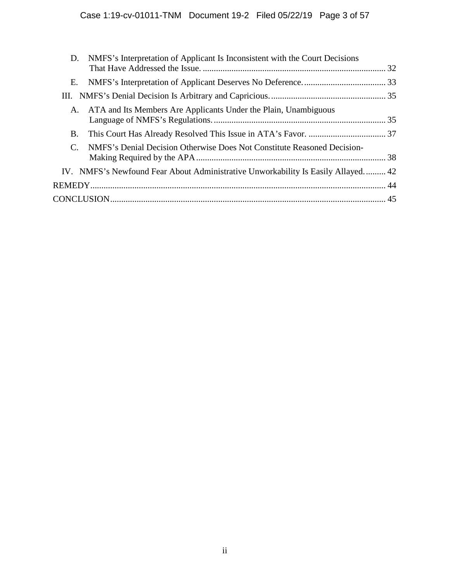| D. NMFS's Interpretation of Applicant Is Inconsistent with the Court Decisions                   |  |
|--------------------------------------------------------------------------------------------------|--|
| Е.                                                                                               |  |
|                                                                                                  |  |
| ATA and Its Members Are Applicants Under the Plain, Unambiguous<br>A.                            |  |
| B.                                                                                               |  |
| NMFS's Denial Decision Otherwise Does Not Constitute Reasoned Decision-<br>$\mathcal{C}_{\cdot}$ |  |
| IV. NMFS's Newfound Fear About Administrative Unworkability Is Easily Allayed 42                 |  |
|                                                                                                  |  |
|                                                                                                  |  |
|                                                                                                  |  |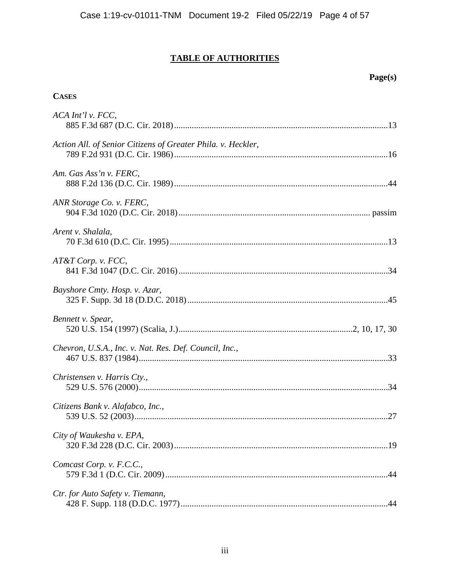# **TABLE OF AUTHORITIES**

# Page(s)

# **CASES**

| ACA Int'l v. FCC,                                            |
|--------------------------------------------------------------|
| Action All. of Senior Citizens of Greater Phila. v. Heckler, |
| Am. Gas Ass'n v. FERC,                                       |
| ANR Storage Co. v. FERC,                                     |
| Arent v. Shalala,                                            |
| AT&T Corp. v. FCC,                                           |
| Bayshore Cmty. Hosp. v. Azar,                                |
| Bennett v. Spear,                                            |
| Chevron, U.S.A., Inc. v. Nat. Res. Def. Council, Inc.,       |
| Christensen v. Harris Cty.,                                  |
| Citizens Bank v. Alafabco, Inc.,                             |
| City of Waukesha v. EPA,                                     |
| Comcast Corp. v. F.C.C.,                                     |
| Ctr. for Auto Safety v. Tiemann,                             |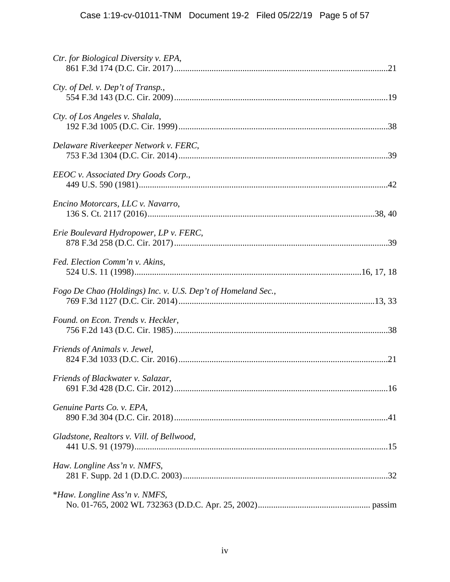| Ctr. for Biological Diversity v. EPA,                        |  |
|--------------------------------------------------------------|--|
| Cty. of Del. v. Dep't of Transp.,                            |  |
| Cty. of Los Angeles v. Shalala,                              |  |
| Delaware Riverkeeper Network v. FERC,                        |  |
| EEOC v. Associated Dry Goods Corp.,                          |  |
| Encino Motorcars, LLC v. Navarro,                            |  |
| Erie Boulevard Hydropower, LP v. FERC,                       |  |
| Fed. Election Comm'n v. Akins,                               |  |
| Fogo De Chao (Holdings) Inc. v. U.S. Dep't of Homeland Sec., |  |
| Found. on Econ. Trends v. Heckler,                           |  |
| Friends of Animals v. Jewel,                                 |  |
| Friends of Blackwater v. Salazar,                            |  |
| Genuine Parts Co. v. EPA,                                    |  |
| Gladstone, Realtors v. Vill. of Bellwood,                    |  |
| Haw. Longline Ass'n v. NMFS,                                 |  |
| <i>*Haw. Longline Ass'n v. NMFS,</i>                         |  |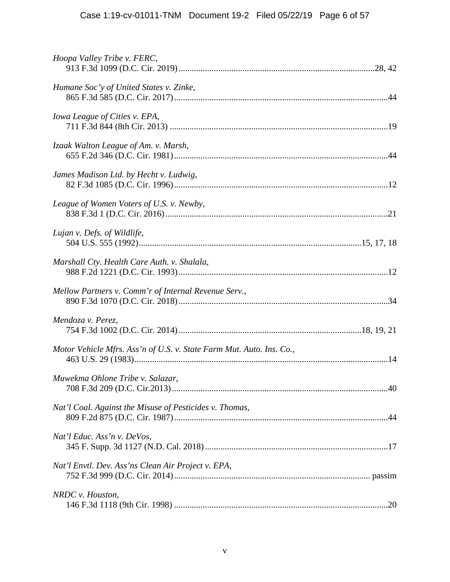| Hoopa Valley Tribe v. FERC,                                          |  |
|----------------------------------------------------------------------|--|
| Humane Soc'y of United States v. Zinke,                              |  |
| Iowa League of Cities v. EPA,                                        |  |
| Izaak Walton League of Am. v. Marsh,                                 |  |
| James Madison Ltd. by Hecht v. Ludwig,                               |  |
| League of Women Voters of U.S. v. Newby,                             |  |
| Lujan v. Defs. of Wildlife,                                          |  |
| Marshall Cty. Health Care Auth. v. Shalala,                          |  |
| Mellow Partners v. Comm'r of Internal Revenue Serv.,                 |  |
| Mendoza v. Perez,                                                    |  |
| Motor Vehicle Mfrs. Ass'n of U.S. v. State Farm Mut. Auto. Ins. Co., |  |
| Muwekma Ohlone Tribe v. Salazar,                                     |  |
| Nat'l Coal. Against the Misuse of Pesticides v. Thomas,              |  |
| Nat'l Educ. Ass'n v. DeVos,                                          |  |
| Nat'l Envtl. Dev. Ass'ns Clean Air Project v. EPA,                   |  |
| NRDC v. Houston,                                                     |  |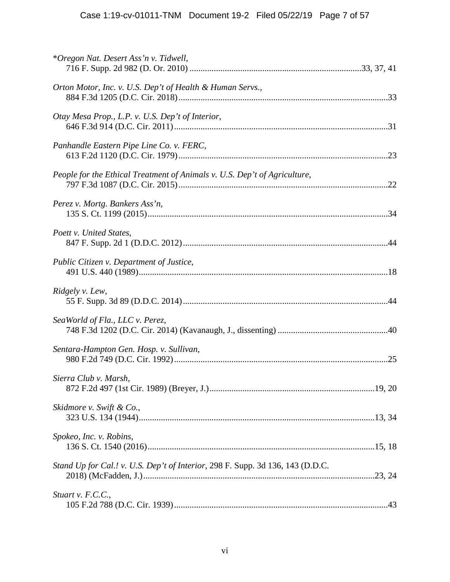| *Oregon Nat. Desert Ass'n v. Tidwell,                                          |  |
|--------------------------------------------------------------------------------|--|
| Orton Motor, Inc. v. U.S. Dep't of Health & Human Servs.,                      |  |
| Otay Mesa Prop., L.P. v. U.S. Dep't of Interior,                               |  |
| Panhandle Eastern Pipe Line Co. v. FERC,                                       |  |
| People for the Ethical Treatment of Animals v. U.S. Dep't of Agriculture,      |  |
| Perez v. Mortg. Bankers Ass'n,                                                 |  |
| Poett v. United States,                                                        |  |
| Public Citizen v. Department of Justice,                                       |  |
| Ridgely v. Lew,                                                                |  |
| SeaWorld of Fla., LLC v. Perez,                                                |  |
| Sentara-Hampton Gen. Hosp. v. Sullivan,                                        |  |
| Sierra Club v. Marsh,                                                          |  |
| Skidmore v. Swift & Co.,                                                       |  |
| Spokeo, Inc. v. Robins,                                                        |  |
| Stand Up for Cal.! v. U.S. Dep't of Interior, 298 F. Supp. 3d 136, 143 (D.D.C. |  |
| Stuart v. F.C.C.,                                                              |  |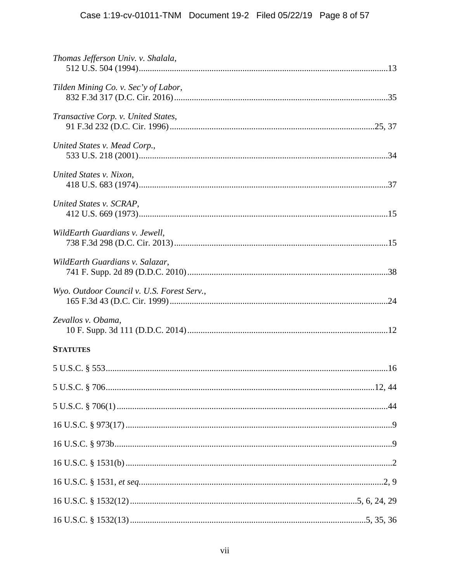| Thomas Jefferson Univ. v. Shalala,         |  |
|--------------------------------------------|--|
| Tilden Mining Co. v. Sec'y of Labor,       |  |
| Transactive Corp. v. United States,        |  |
| United States v. Mead Corp.,               |  |
| United States v. Nixon,                    |  |
| United States v. SCRAP,                    |  |
| WildEarth Guardians v. Jewell,             |  |
| WildEarth Guardians v. Salazar,            |  |
| Wyo. Outdoor Council v. U.S. Forest Serv., |  |
| Zevallos v. Obama,                         |  |
| <b>STATUTES</b>                            |  |
|                                            |  |
|                                            |  |
|                                            |  |
|                                            |  |
|                                            |  |
|                                            |  |
|                                            |  |
|                                            |  |
|                                            |  |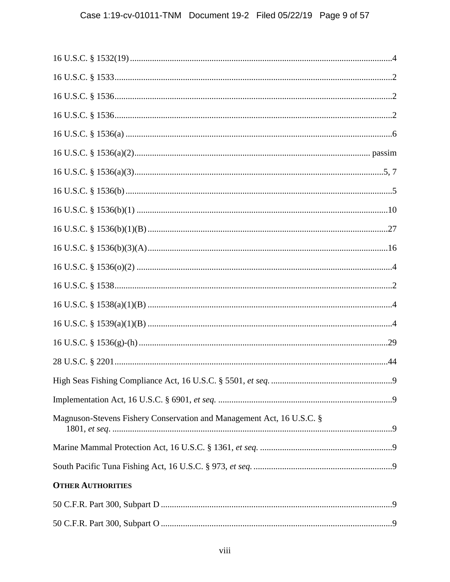| Magnuson-Stevens Fishery Conservation and Management Act, 16 U.S.C. § |                |
|-----------------------------------------------------------------------|----------------|
|                                                                       |                |
|                                                                       |                |
| <b>OTHER AUTHORITIES</b>                                              |                |
|                                                                       |                |
|                                                                       | $\overline{9}$ |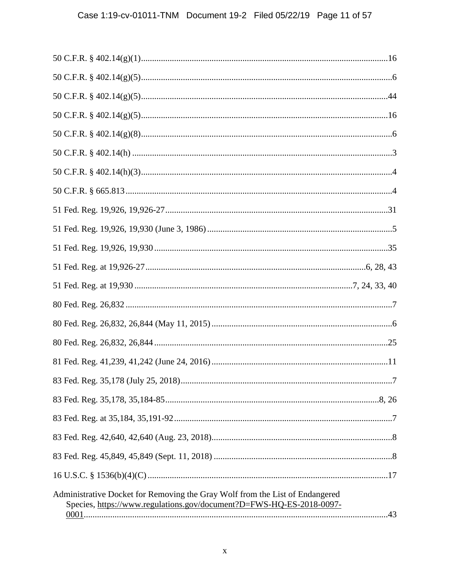| Administrative Docket for Removing the Gray Wolf from the List of Endangered<br>Species, https://www.regulations.gov/document?D=FWS-HQ-ES-2018-0097- |
|------------------------------------------------------------------------------------------------------------------------------------------------------|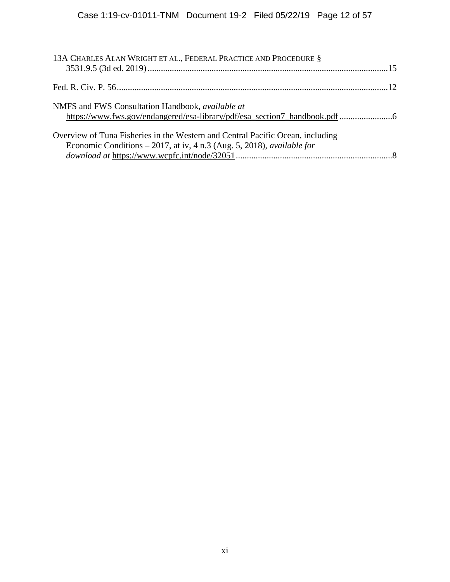| 13A CHARLES ALAN WRIGHT ET AL., FEDERAL PRACTICE AND PROCEDURE §                                                                                                  |  |
|-------------------------------------------------------------------------------------------------------------------------------------------------------------------|--|
|                                                                                                                                                                   |  |
| NMFS and FWS Consultation Handbook, <i>available at</i>                                                                                                           |  |
| Overview of Tuna Fisheries in the Western and Central Pacific Ocean, including<br>Economic Conditions $-2017$ , at iv, 4 n.3 (Aug. 5, 2018), <i>available for</i> |  |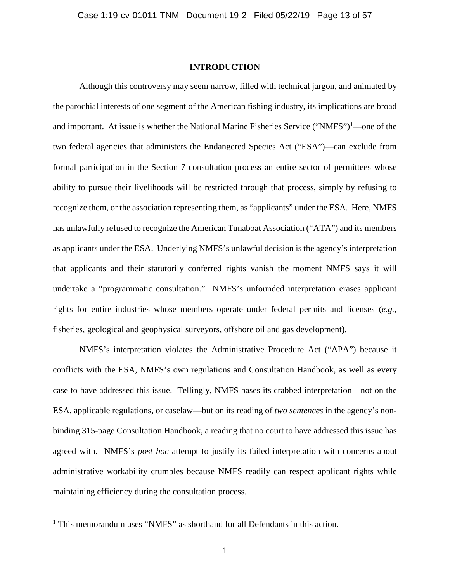#### **INTRODUCTION**

Although this controversy may seem narrow, filled with technical jargon, and animated by the parochial interests of one segment of the American fishing industry, its implications are broad and important. At issue is whether the National Marine Fisheries Service ("NMFS")<sup>1</sup>—one of the two federal agencies that administers the Endangered Species Act ("ESA")—can exclude from formal participation in the Section 7 consultation process an entire sector of permittees whose ability to pursue their livelihoods will be restricted through that process, simply by refusing to recognize them, or the association representing them, as "applicants" under the ESA. Here, NMFS has unlawfully refused to recognize the American Tunaboat Association ("ATA") and its members as applicants under the ESA. Underlying NMFS's unlawful decision is the agency's interpretation that applicants and their statutorily conferred rights vanish the moment NMFS says it will undertake a "programmatic consultation." NMFS's unfounded interpretation erases applicant rights for entire industries whose members operate under federal permits and licenses (*e.g.*, fisheries, geological and geophysical surveyors, offshore oil and gas development).

NMFS's interpretation violates the Administrative Procedure Act ("APA") because it conflicts with the ESA, NMFS's own regulations and Consultation Handbook, as well as every case to have addressed this issue. Tellingly, NMFS bases its crabbed interpretation—not on the ESA, applicable regulations, or caselaw—but on its reading of *two sentences* in the agency's nonbinding 315-page Consultation Handbook, a reading that no court to have addressed this issue has agreed with. NMFS's *post hoc* attempt to justify its failed interpretation with concerns about administrative workability crumbles because NMFS readily can respect applicant rights while maintaining efficiency during the consultation process.

<sup>&</sup>lt;sup>1</sup> This memorandum uses "NMFS" as shorthand for all Defendants in this action.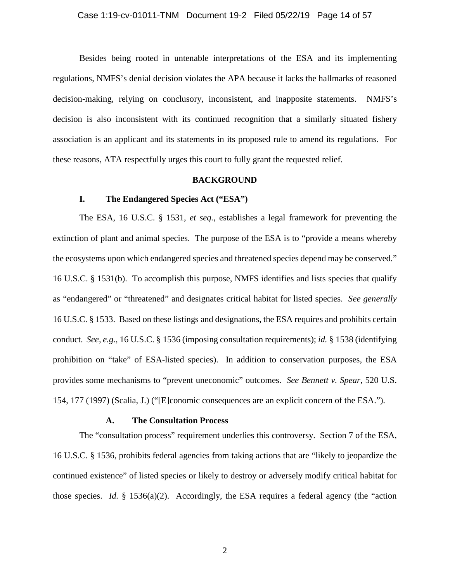#### Case 1:19-cv-01011-TNM Document 19-2 Filed 05/22/19 Page 14 of 57

Besides being rooted in untenable interpretations of the ESA and its implementing regulations, NMFS's denial decision violates the APA because it lacks the hallmarks of reasoned decision-making, relying on conclusory, inconsistent, and inapposite statements. NMFS's decision is also inconsistent with its continued recognition that a similarly situated fishery association is an applicant and its statements in its proposed rule to amend its regulations. For these reasons, ATA respectfully urges this court to fully grant the requested relief.

#### **BACKGROUND**

### **I. The Endangered Species Act ("ESA")**

The ESA, 16 U.S.C. § 1531, *et seq.*, establishes a legal framework for preventing the extinction of plant and animal species. The purpose of the ESA is to "provide a means whereby the ecosystems upon which endangered species and threatened species depend may be conserved." 16 U.S.C. § 1531(b). To accomplish this purpose, NMFS identifies and lists species that qualify as "endangered" or "threatened" and designates critical habitat for listed species. *See generally*  16 U.S.C. § 1533. Based on these listings and designations, the ESA requires and prohibits certain conduct. *See, e.g.*, 16 U.S.C. § 1536 (imposing consultation requirements); *id.* § 1538 (identifying prohibition on "take" of ESA-listed species). In addition to conservation purposes, the ESA provides some mechanisms to "prevent uneconomic" outcomes. *See Bennett v. Spear*, 520 U.S. 154, 177 (1997) (Scalia, J.) ("[E]conomic consequences are an explicit concern of the ESA.").

### **A. The Consultation Process**

The "consultation process" requirement underlies this controversy. Section 7 of the ESA, 16 U.S.C. § 1536, prohibits federal agencies from taking actions that are "likely to jeopardize the continued existence" of listed species or likely to destroy or adversely modify critical habitat for those species. *Id.* § 1536(a)(2). Accordingly, the ESA requires a federal agency (the "action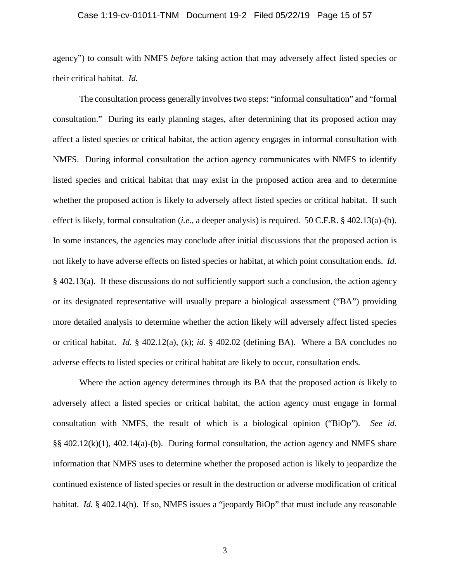#### Case 1:19-cv-01011-TNM Document 19-2 Filed 05/22/19 Page 15 of 57

agency") to consult with NMFS *before* taking action that may adversely affect listed species or their critical habitat. *Id.* 

The consultation process generally involves two steps: "informal consultation" and "formal consultation." During its early planning stages, after determining that its proposed action may affect a listed species or critical habitat, the action agency engages in informal consultation with NMFS. During informal consultation the action agency communicates with NMFS to identify listed species and critical habitat that may exist in the proposed action area and to determine whether the proposed action is likely to adversely affect listed species or critical habitat. If such effect is likely, formal consultation (*i.e.*, a deeper analysis) is required. 50 C.F.R. § 402.13(a)-(b). In some instances, the agencies may conclude after initial discussions that the proposed action is not likely to have adverse effects on listed species or habitat, at which point consultation ends. *Id.* § 402.13(a). If these discussions do not sufficiently support such a conclusion, the action agency or its designated representative will usually prepare a biological assessment ("BA") providing more detailed analysis to determine whether the action likely will adversely affect listed species or critical habitat. *Id.* § 402.12(a), (k); *id.* § 402.02 (defining BA). Where a BA concludes no adverse effects to listed species or critical habitat are likely to occur, consultation ends.

Where the action agency determines through its BA that the proposed action *is* likely to adversely affect a listed species or critical habitat, the action agency must engage in formal consultation with NMFS, the result of which is a biological opinion ("BiOp"). *See id.*  §§ 402.12(k)(1), 402.14(a)-(b). During formal consultation, the action agency and NMFS share information that NMFS uses to determine whether the proposed action is likely to jeopardize the continued existence of listed species or result in the destruction or adverse modification of critical habitat. *Id.* § 402.14(h). If so, NMFS issues a "jeopardy BiOp" that must include any reasonable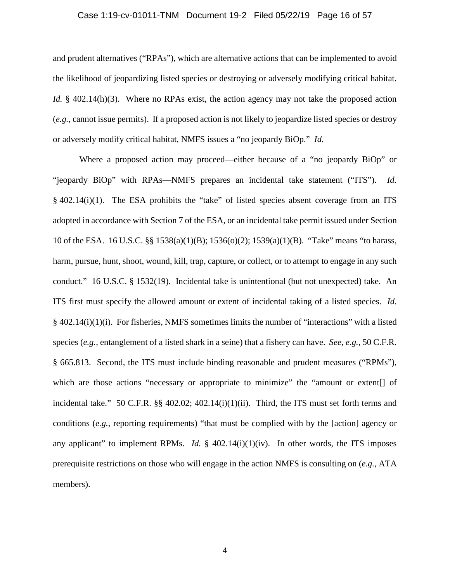#### Case 1:19-cv-01011-TNM Document 19-2 Filed 05/22/19 Page 16 of 57

and prudent alternatives ("RPAs"), which are alternative actions that can be implemented to avoid the likelihood of jeopardizing listed species or destroying or adversely modifying critical habitat. *Id.* § 402.14(h)(3). Where no RPAs exist, the action agency may not take the proposed action (*e.g.*, cannot issue permits). If a proposed action is not likely to jeopardize listed species or destroy or adversely modify critical habitat, NMFS issues a "no jeopardy BiOp." *Id.*

Where a proposed action may proceed—either because of a "no jeopardy BiOp" or "jeopardy BiOp" with RPAs—NMFS prepares an incidental take statement ("ITS"). *Id.*  § 402.14(i)(1). The ESA prohibits the "take" of listed species absent coverage from an ITS adopted in accordance with Section 7 of the ESA, or an incidental take permit issued under Section 10 of the ESA. 16 U.S.C. §§ 1538(a)(1)(B); 1536(o)(2); 1539(a)(1)(B). "Take" means "to harass, harm, pursue, hunt, shoot, wound, kill, trap, capture, or collect, or to attempt to engage in any such conduct." 16 U.S.C. § 1532(19). Incidental take is unintentional (but not unexpected) take. An ITS first must specify the allowed amount or extent of incidental taking of a listed species. *Id.* § 402.14(i)(1)(i). For fisheries, NMFS sometimes limits the number of "interactions" with a listed species (*e.g.*, entanglement of a listed shark in a seine) that a fishery can have. *See, e.g.*, 50 C.F.R. § 665.813. Second, the ITS must include binding reasonable and prudent measures ("RPMs"), which are those actions "necessary or appropriate to minimize" the "amount or extent<sup>[]</sup> of incidental take." 50 C.F.R. §§ 402.02; 402.14(i)(1)(ii). Third, the ITS must set forth terms and conditions (*e.g.*, reporting requirements) "that must be complied with by the [action] agency or any applicant" to implement RPMs. *Id.* § 402.14(i)(1)(iv). In other words, the ITS imposes prerequisite restrictions on those who will engage in the action NMFS is consulting on (*e.g.*, ATA members).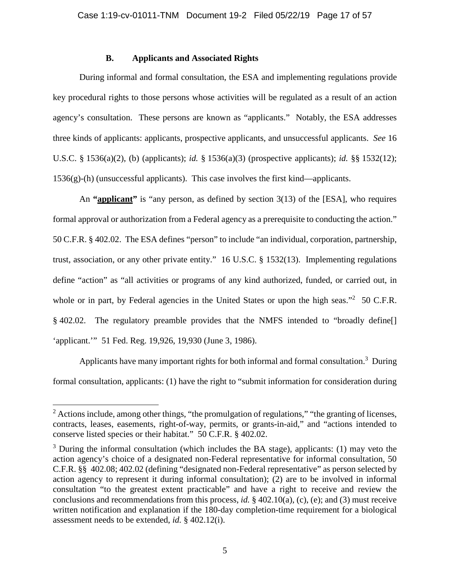# **B. Applicants and Associated Rights**

During informal and formal consultation, the ESA and implementing regulations provide key procedural rights to those persons whose activities will be regulated as a result of an action agency's consultation. These persons are known as "applicants." Notably, the ESA addresses three kinds of applicants: applicants, prospective applicants, and unsuccessful applicants. *See* 16 U.S.C. § 1536(a)(2), (b) (applicants); *id.* § 1536(a)(3) (prospective applicants); *id.* §§ 1532(12); 1536(g)-(h) (unsuccessful applicants). This case involves the first kind—applicants.

An **"applicant"** is "any person, as defined by section 3(13) of the [ESA], who requires formal approval or authorization from a Federal agency as a prerequisite to conducting the action." 50 C.F.R. § 402.02. The ESA defines "person" to include "an individual, corporation, partnership, trust, association, or any other private entity." 16 U.S.C. § 1532(13). Implementing regulations define "action" as "all activities or programs of any kind authorized, funded, or carried out, in whole or in part, by Federal agencies in the United States or upon the high seas."<sup>2</sup> 50 C.F.R. § 402.02. The regulatory preamble provides that the NMFS intended to "broadly define[] 'applicant.'" 51 Fed. Reg. 19,926, 19,930 (June 3, 1986).

Applicants have many important rights for both informal and formal consultation.<sup>3</sup> During formal consultation, applicants: (1) have the right to "submit information for consideration during

 $2$  Actions include, among other things, "the promulgation of regulations," "the granting of licenses, contracts, leases, easements, right-of-way, permits, or grants-in-aid," and "actions intended to conserve listed species or their habitat." 50 C.F.R. § 402.02.

 $3$  During the informal consultation (which includes the BA stage), applicants: (1) may veto the action agency's choice of a designated non-Federal representative for informal consultation, 50 C.F.R. §§ 402.08; 402.02 (defining "designated non-Federal representative" as person selected by action agency to represent it during informal consultation); (2) are to be involved in informal consultation "to the greatest extent practicable" and have a right to receive and review the conclusions and recommendations from this process, *id.* § 402.10(a), (c), (e); and (3) must receive written notification and explanation if the 180-day completion-time requirement for a biological assessment needs to be extended, *id.* § 402.12(i).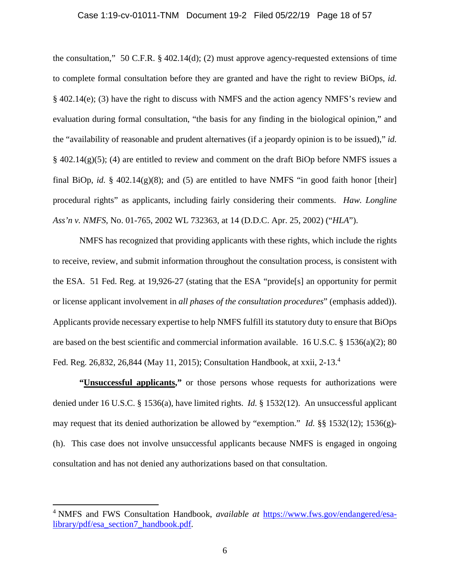#### Case 1:19-cv-01011-TNM Document 19-2 Filed 05/22/19 Page 18 of 57

the consultation," 50 C.F.R.  $\S$  402.14(d); (2) must approve agency-requested extensions of time to complete formal consultation before they are granted and have the right to review BiOps, *id.* § 402.14(e); (3) have the right to discuss with NMFS and the action agency NMFS's review and evaluation during formal consultation, "the basis for any finding in the biological opinion," and the "availability of reasonable and prudent alternatives (if a jeopardy opinion is to be issued)," *id.*  $\S$  402.14(g)(5); (4) are entitled to review and comment on the draft BiOp before NMFS issues a final BiOp, *id.*  $\S$  402.14(g)(8); and (5) are entitled to have NMFS "in good faith honor [their] procedural rights" as applicants, including fairly considering their comments. *Haw. Longline Ass'n v. NMFS*, No. 01-765, 2002 WL 732363, at 14 (D.D.C. Apr. 25, 2002) ("*HLA*").

NMFS has recognized that providing applicants with these rights, which include the rights to receive, review, and submit information throughout the consultation process, is consistent with the ESA. 51 Fed. Reg. at 19,926-27 (stating that the ESA "provide[s] an opportunity for permit or license applicant involvement in *all phases of the consultation procedures*" (emphasis added)). Applicants provide necessary expertise to help NMFS fulfill its statutory duty to ensure that BiOps are based on the best scientific and commercial information available. 16 U.S.C. § 1536(a)(2); 80 Fed. Reg. 26,832, 26,844 (May 11, 2015); Consultation Handbook, at xxii, 2-13.<sup>4</sup>

**"Unsuccessful applicants,"** or those persons whose requests for authorizations were denied under 16 U.S.C. § 1536(a), have limited rights. *Id.* § 1532(12). An unsuccessful applicant may request that its denied authorization be allowed by "exemption." *Id.* §§ 1532(12); 1536(g)- (h). This case does not involve unsuccessful applicants because NMFS is engaged in ongoing consultation and has not denied any authorizations based on that consultation.

<sup>&</sup>lt;sup>4</sup> NMFS and FWS Consultation Handbook, *available at https://www.fws.gov/endangered/esa*library/pdf/esa\_section7\_handbook.pdf.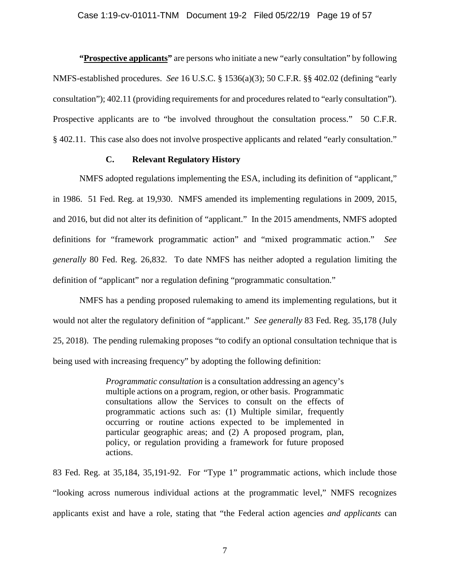**"Prospective applicants"** are persons who initiate a new "early consultation" by following NMFS-established procedures. *See* 16 U.S.C. § 1536(a)(3); 50 C.F.R. §§ 402.02 (defining "early consultation"); 402.11 (providing requirements for and procedures related to "early consultation"). Prospective applicants are to "be involved throughout the consultation process." 50 C.F.R. § 402.11. This case also does not involve prospective applicants and related "early consultation."

# **C. Relevant Regulatory History**

NMFS adopted regulations implementing the ESA, including its definition of "applicant," in 1986. 51 Fed. Reg. at 19,930. NMFS amended its implementing regulations in 2009, 2015, and 2016, but did not alter its definition of "applicant." In the 2015 amendments, NMFS adopted definitions for "framework programmatic action" and "mixed programmatic action." *See generally* 80 Fed. Reg. 26,832. To date NMFS has neither adopted a regulation limiting the definition of "applicant" nor a regulation defining "programmatic consultation."

NMFS has a pending proposed rulemaking to amend its implementing regulations, but it would not alter the regulatory definition of "applicant." *See generally* 83 Fed. Reg. 35,178 (July 25, 2018). The pending rulemaking proposes "to codify an optional consultation technique that is being used with increasing frequency" by adopting the following definition:

> *Programmatic consultation* is a consultation addressing an agency's multiple actions on a program, region, or other basis. Programmatic consultations allow the Services to consult on the effects of programmatic actions such as: (1) Multiple similar, frequently occurring or routine actions expected to be implemented in particular geographic areas; and (2) A proposed program, plan, policy, or regulation providing a framework for future proposed actions.

83 Fed. Reg. at 35,184, 35,191-92. For "Type 1" programmatic actions, which include those "looking across numerous individual actions at the programmatic level," NMFS recognizes applicants exist and have a role, stating that "the Federal action agencies *and applicants* can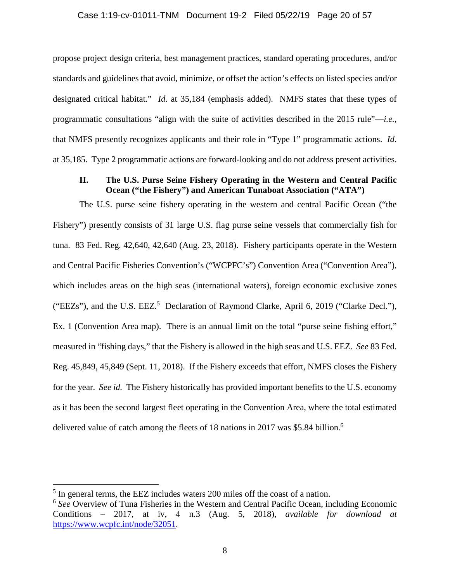### Case 1:19-cv-01011-TNM Document 19-2 Filed 05/22/19 Page 20 of 57

propose project design criteria, best management practices, standard operating procedures, and/or standards and guidelines that avoid, minimize, or offset the action's effects on listed species and/or designated critical habitat." *Id.* at 35,184 (emphasis added). NMFS states that these types of programmatic consultations "align with the suite of activities described in the 2015 rule"—*i.e.*, that NMFS presently recognizes applicants and their role in "Type 1" programmatic actions. *Id.* at 35,185. Type 2 programmatic actions are forward-looking and do not address present activities.

# **II. The U.S. Purse Seine Fishery Operating in the Western and Central Pacific Ocean ("the Fishery") and American Tunaboat Association ("ATA")**

The U.S. purse seine fishery operating in the western and central Pacific Ocean ("the Fishery") presently consists of 31 large U.S. flag purse seine vessels that commercially fish for tuna. 83 Fed. Reg. 42,640, 42,640 (Aug. 23, 2018). Fishery participants operate in the Western and Central Pacific Fisheries Convention's ("WCPFC's") Convention Area ("Convention Area"), which includes areas on the high seas (international waters), foreign economic exclusive zones ("EEZs"), and the U.S. EEZ.<sup>5</sup> Declaration of Raymond Clarke, April 6, 2019 ("Clarke Decl."), Ex. 1 (Convention Area map). There is an annual limit on the total "purse seine fishing effort," measured in "fishing days," that the Fishery is allowed in the high seas and U.S. EEZ. *See* 83 Fed. Reg. 45,849, 45,849 (Sept. 11, 2018). If the Fishery exceeds that effort, NMFS closes the Fishery for the year. *See id.* The Fishery historically has provided important benefits to the U.S. economy as it has been the second largest fleet operating in the Convention Area, where the total estimated delivered value of catch among the fleets of 18 nations in 2017 was \$5.84 billion.<sup>6</sup>

<sup>&</sup>lt;sup>5</sup> In general terms, the EEZ includes waters 200 miles off the coast of a nation.

<sup>&</sup>lt;sup>6</sup> See Overview of Tuna Fisheries in the Western and Central Pacific Ocean, including Economic Conditions – 2017, at iv, 4 n.3 (Aug. 5, 2018), *available for download at* https://www.wcpfc.int/node/32051.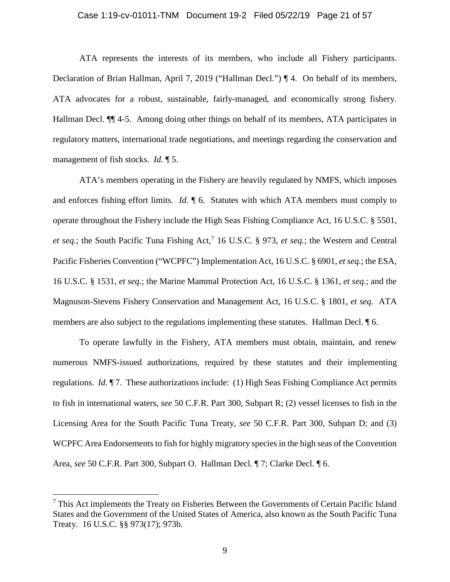#### Case 1:19-cv-01011-TNM Document 19-2 Filed 05/22/19 Page 21 of 57

ATA represents the interests of its members, who include all Fishery participants. Declaration of Brian Hallman, April 7, 2019 ("Hallman Decl.") ¶ 4. On behalf of its members, ATA advocates for a robust, sustainable, fairly-managed, and economically strong fishery. Hallman Decl.  $\P$  4-5. Among doing other things on behalf of its members, ATA participates in regulatory matters, international trade negotiations, and meetings regarding the conservation and management of fish stocks. *Id.* ¶ 5.

ATA's members operating in the Fishery are heavily regulated by NMFS, which imposes and enforces fishing effort limits. *Id.* ¶ 6. Statutes with which ATA members must comply to operate throughout the Fishery include the High Seas Fishing Compliance Act, 16 U.S.C. § 5501, et seq.; the South Pacific Tuna Fishing Act,<sup>7</sup> 16 U.S.C. § 973, et seq.; the Western and Central Pacific Fisheries Convention ("WCPFC") Implementation Act, 16 U.S.C. § 6901, *et seq.*; the ESA, 16 U.S.C. § 1531, *et seq.*; the Marine Mammal Protection Act, 16 U.S.C. § 1361, *et seq.*; and the Magnuson-Stevens Fishery Conservation and Management Act, 16 U.S.C. § 1801, *et seq*. ATA members are also subject to the regulations implementing these statutes. Hallman Decl. ¶ 6.

To operate lawfully in the Fishery, ATA members must obtain, maintain, and renew numerous NMFS-issued authorizations, required by these statutes and their implementing regulations. *Id.* ¶ 7. These authorizations include: (1) High Seas Fishing Compliance Act permits to fish in international waters, *see* 50 C.F.R. Part 300, Subpart R; (2) vessel licenses to fish in the Licensing Area for the South Pacific Tuna Treaty, *see* 50 C.F.R. Part 300, Subpart D; and (3) WCPFC Area Endorsements to fish for highly migratory species in the high seas of the Convention Area, *see* 50 C.F.R. Part 300, Subpart O. Hallman Decl. ¶ 7; Clarke Decl. ¶ 6.

 $7$  This Act implements the Treaty on Fisheries Between the Governments of Certain Pacific Island States and the Government of the United States of America, also known as the South Pacific Tuna Treaty. 16 U.S.C. §§ 973(17); 973b.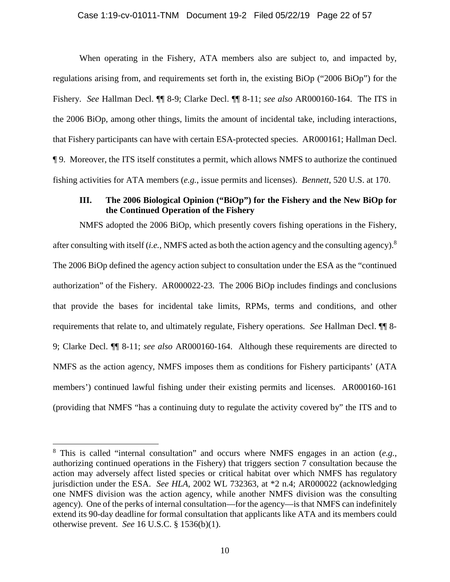When operating in the Fishery, ATA members also are subject to, and impacted by, regulations arising from, and requirements set forth in, the existing BiOp ("2006 BiOp") for the Fishery. *See* Hallman Decl. ¶¶ 8-9; Clarke Decl. ¶¶ 8-11; *see also* AR000160-164. The ITS in the 2006 BiOp, among other things, limits the amount of incidental take, including interactions, that Fishery participants can have with certain ESA-protected species. AR000161; Hallman Decl. ¶ 9. Moreover, the ITS itself constitutes a permit, which allows NMFS to authorize the continued fishing activities for ATA members (*e.g.*, issue permits and licenses). *Bennett*, 520 U.S. at 170.

# **III. The 2006 Biological Opinion ("BiOp") for the Fishery and the New BiOp for the Continued Operation of the Fishery**

NMFS adopted the 2006 BiOp, which presently covers fishing operations in the Fishery, after consulting with itself (*i.e.*, NMFS acted as both the action agency and the consulting agency).<sup>8</sup> The 2006 BiOp defined the agency action subject to consultation under the ESA as the "continued authorization" of the Fishery. AR000022-23. The 2006 BiOp includes findings and conclusions that provide the bases for incidental take limits, RPMs, terms and conditions, and other requirements that relate to, and ultimately regulate, Fishery operations. *See* Hallman Decl. ¶¶ 8- 9; Clarke Decl. ¶¶ 8-11; *see also* AR000160-164. Although these requirements are directed to NMFS as the action agency, NMFS imposes them as conditions for Fishery participants' (ATA members') continued lawful fishing under their existing permits and licenses. AR000160-161 (providing that NMFS "has a continuing duty to regulate the activity covered by" the ITS and to

<sup>8</sup> This is called "internal consultation" and occurs where NMFS engages in an action (*e.g.*, authorizing continued operations in the Fishery) that triggers section 7 consultation because the action may adversely affect listed species or critical habitat over which NMFS has regulatory jurisdiction under the ESA. *See HLA*, 2002 WL 732363, at \*2 n.4; AR000022 (acknowledging one NMFS division was the action agency, while another NMFS division was the consulting agency). One of the perks of internal consultation—for the agency—is that NMFS can indefinitely extend its 90-day deadline for formal consultation that applicants like ATA and its members could otherwise prevent. *See* 16 U.S.C. § 1536(b)(1).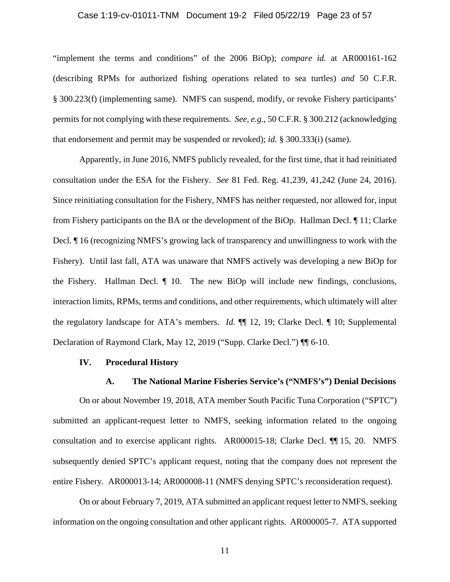#### Case 1:19-cv-01011-TNM Document 19-2 Filed 05/22/19 Page 23 of 57

"implement the terms and conditions" of the 2006 BiOp); *compare id.* at AR000161-162 (describing RPMs for authorized fishing operations related to sea turtles) *and* 50 C.F.R. § 300.223(f) (implementing same). NMFS can suspend, modify, or revoke Fishery participants' permits for not complying with these requirements. *See, e.g.*, 50 C.F.R. § 300.212 (acknowledging that endorsement and permit may be suspended or revoked); *id.* § 300.333(i) (same).

Apparently, in June 2016, NMFS publicly revealed, for the first time, that it had reinitiated consultation under the ESA for the Fishery. *See* 81 Fed. Reg. 41,239, 41,242 (June 24, 2016). Since reinitiating consultation for the Fishery, NMFS has neither requested, nor allowed for, input from Fishery participants on the BA or the development of the BiOp. Hallman Decl. ¶ 11; Clarke Decl. ¶ 16 (recognizing NMFS's growing lack of transparency and unwillingness to work with the Fishery). Until last fall, ATA was unaware that NMFS actively was developing a new BiOp for the Fishery. Hallman Decl. ¶ 10. The new BiOp will include new findings, conclusions, interaction limits, RPMs, terms and conditions, and other requirements, which ultimately will alter the regulatory landscape for ATA's members. *Id.* ¶¶ 12, 19; Clarke Decl. ¶ 10; Supplemental Declaration of Raymond Clark, May 12, 2019 ("Supp. Clarke Decl.") ¶¶ 6-10.

### **IV. Procedural History**

### **A. The National Marine Fisheries Service's ("NMFS's") Denial Decisions**

On or about November 19, 2018, ATA member South Pacific Tuna Corporation ("SPTC") submitted an applicant-request letter to NMFS, seeking information related to the ongoing consultation and to exercise applicant rights. AR000015-18; Clarke Decl. ¶¶ 15, 20. NMFS subsequently denied SPTC's applicant request, noting that the company does not represent the entire Fishery. AR000013-14; AR000008-11 (NMFS denying SPTC's reconsideration request).

On or about February 7, 2019, ATA submitted an applicant request letter to NMFS, seeking information on the ongoing consultation and other applicant rights. AR000005-7. ATA supported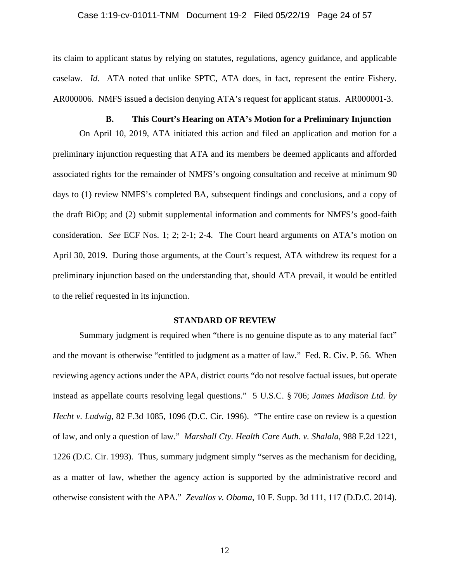#### Case 1:19-cv-01011-TNM Document 19-2 Filed 05/22/19 Page 24 of 57

its claim to applicant status by relying on statutes, regulations, agency guidance, and applicable caselaw. *Id.* ATA noted that unlike SPTC, ATA does, in fact, represent the entire Fishery. AR000006. NMFS issued a decision denying ATA's request for applicant status. AR000001-3.

# **B. This Court's Hearing on ATA's Motion for a Preliminary Injunction**

On April 10, 2019, ATA initiated this action and filed an application and motion for a preliminary injunction requesting that ATA and its members be deemed applicants and afforded associated rights for the remainder of NMFS's ongoing consultation and receive at minimum 90 days to (1) review NMFS's completed BA, subsequent findings and conclusions, and a copy of the draft BiOp; and (2) submit supplemental information and comments for NMFS's good-faith consideration. *See* ECF Nos. 1; 2; 2-1; 2-4. The Court heard arguments on ATA's motion on April 30, 2019. During those arguments, at the Court's request, ATA withdrew its request for a preliminary injunction based on the understanding that, should ATA prevail, it would be entitled to the relief requested in its injunction.

#### **STANDARD OF REVIEW**

Summary judgment is required when "there is no genuine dispute as to any material fact" and the movant is otherwise "entitled to judgment as a matter of law." Fed. R. Civ. P. 56. When reviewing agency actions under the APA, district courts "do not resolve factual issues, but operate instead as appellate courts resolving legal questions." 5 U.S.C. § 706; *James Madison Ltd. by Hecht v. Ludwig*, 82 F.3d 1085, 1096 (D.C. Cir. 1996). "The entire case on review is a question of law, and only a question of law." *Marshall Cty. Health Care Auth. v. Shalala*, 988 F.2d 1221, 1226 (D.C. Cir. 1993). Thus, summary judgment simply "serves as the mechanism for deciding, as a matter of law, whether the agency action is supported by the administrative record and otherwise consistent with the APA." *Zevallos v. Obama*, 10 F. Supp. 3d 111, 117 (D.D.C. 2014).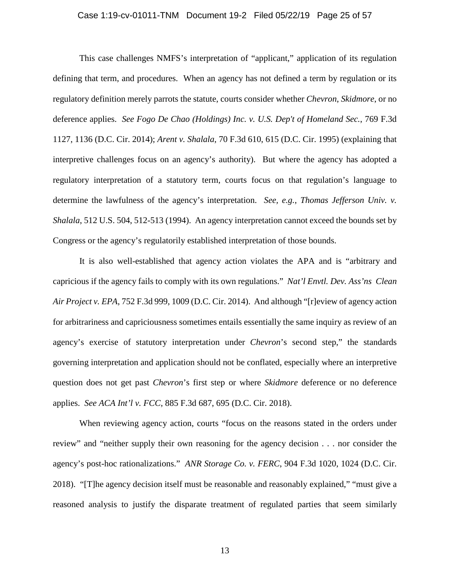#### Case 1:19-cv-01011-TNM Document 19-2 Filed 05/22/19 Page 25 of 57

This case challenges NMFS's interpretation of "applicant," application of its regulation defining that term, and procedures. When an agency has not defined a term by regulation or its regulatory definition merely parrots the statute, courts consider whether *Chevron*, *Skidmore*, or no deference applies. *See Fogo De Chao (Holdings) Inc. v. U.S. Dep't of Homeland Sec.*, 769 F.3d 1127, 1136 (D.C. Cir. 2014); *Arent v. Shalala*, 70 F.3d 610, 615 (D.C. Cir. 1995) (explaining that interpretive challenges focus on an agency's authority). But where the agency has adopted a regulatory interpretation of a statutory term, courts focus on that regulation's language to determine the lawfulness of the agency's interpretation. *See, e.g.*, *Thomas Jefferson Univ. v. Shalala*, 512 U.S. 504, 512-513 (1994). An agency interpretation cannot exceed the bounds set by Congress or the agency's regulatorily established interpretation of those bounds.

It is also well-established that agency action violates the APA and is "arbitrary and capricious if the agency fails to comply with its own regulations." *Nat'l Envtl. Dev. Ass'ns Clean Air Project v. EPA*, 752 F.3d 999, 1009 (D.C. Cir. 2014). And although "[r]eview of agency action for arbitrariness and capriciousness sometimes entails essentially the same inquiry as review of an agency's exercise of statutory interpretation under *Chevron*'s second step," the standards governing interpretation and application should not be conflated, especially where an interpretive question does not get past *Chevron*'s first step or where *Skidmore* deference or no deference applies. *See ACA Int'l v. FCC*, 885 F.3d 687, 695 (D.C. Cir. 2018).

When reviewing agency action, courts "focus on the reasons stated in the orders under review" and "neither supply their own reasoning for the agency decision . . . nor consider the agency's post-hoc rationalizations." *ANR Storage Co. v. FERC*, 904 F.3d 1020, 1024 (D.C. Cir. 2018). "[T]he agency decision itself must be reasonable and reasonably explained," "must give a reasoned analysis to justify the disparate treatment of regulated parties that seem similarly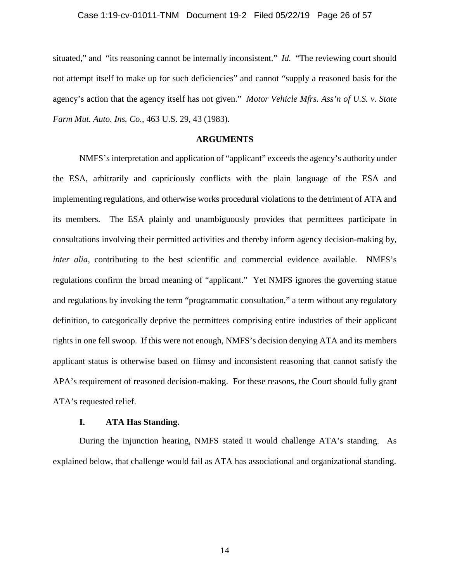#### Case 1:19-cv-01011-TNM Document 19-2 Filed 05/22/19 Page 26 of 57

situated," and "its reasoning cannot be internally inconsistent." *Id.* "The reviewing court should not attempt itself to make up for such deficiencies" and cannot "supply a reasoned basis for the agency's action that the agency itself has not given." *Motor Vehicle Mfrs. Ass'n of U.S. v. State Farm Mut. Auto. Ins. Co.*, 463 U.S. 29, 43 (1983).

## **ARGUMENTS**

NMFS's interpretation and application of "applicant" exceeds the agency's authority under the ESA, arbitrarily and capriciously conflicts with the plain language of the ESA and implementing regulations, and otherwise works procedural violations to the detriment of ATA and its members. The ESA plainly and unambiguously provides that permittees participate in consultations involving their permitted activities and thereby inform agency decision-making by, *inter alia*, contributing to the best scientific and commercial evidence available. NMFS's regulations confirm the broad meaning of "applicant." Yet NMFS ignores the governing statue and regulations by invoking the term "programmatic consultation," a term without any regulatory definition, to categorically deprive the permittees comprising entire industries of their applicant rights in one fell swoop. If this were not enough, NMFS's decision denying ATA and its members applicant status is otherwise based on flimsy and inconsistent reasoning that cannot satisfy the APA's requirement of reasoned decision-making. For these reasons, the Court should fully grant ATA's requested relief.

# **I. ATA Has Standing.**

During the injunction hearing, NMFS stated it would challenge ATA's standing. As explained below, that challenge would fail as ATA has associational and organizational standing.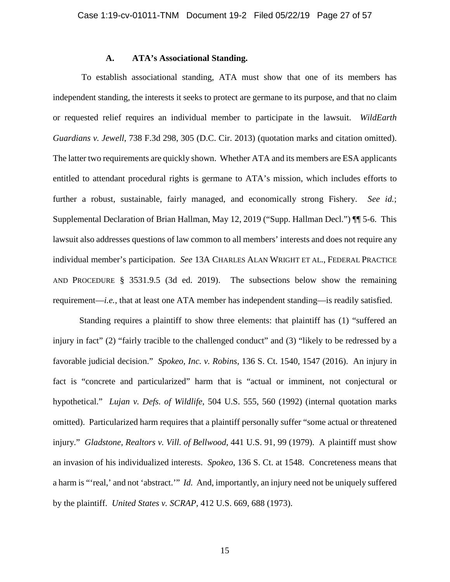#### **A. ATA's Associational Standing.**

 To establish associational standing, ATA must show that one of its members has independent standing, the interests it seeks to protect are germane to its purpose, and that no claim or requested relief requires an individual member to participate in the lawsuit. *WildEarth Guardians v. Jewell*, 738 F.3d 298, 305 (D.C. Cir. 2013) (quotation marks and citation omitted). The latter two requirements are quickly shown. Whether ATA and its members are ESA applicants entitled to attendant procedural rights is germane to ATA's mission, which includes efforts to further a robust, sustainable, fairly managed, and economically strong Fishery. *See id.*; Supplemental Declaration of Brian Hallman, May 12, 2019 ("Supp. Hallman Decl.") ¶¶ 5-6. This lawsuit also addresses questions of law common to all members' interests and does not require any individual member's participation. *See* 13A CHARLES ALAN WRIGHT ET AL., FEDERAL PRACTICE AND PROCEDURE § 3531.9.5 (3d ed. 2019). The subsections below show the remaining requirement—*i.e.*, that at least one ATA member has independent standing—is readily satisfied.

Standing requires a plaintiff to show three elements: that plaintiff has (1) "suffered an injury in fact" (2) "fairly tracible to the challenged conduct" and (3) "likely to be redressed by a favorable judicial decision." *Spokeo, Inc. v. Robins*, 136 S. Ct. 1540, 1547 (2016). An injury in fact is "concrete and particularized" harm that is "actual or imminent, not conjectural or hypothetical." *Lujan v. Defs. of Wildlife*, 504 U.S. 555, 560 (1992) (internal quotation marks omitted). Particularized harm requires that a plaintiff personally suffer "some actual or threatened injury." *Gladstone, Realtors v. Vill. of Bellwood*, 441 U.S. 91, 99 (1979). A plaintiff must show an invasion of his individualized interests. *Spokeo*, 136 S. Ct. at 1548. Concreteness means that a harm is "'real,' and not 'abstract.'" *Id.* And, importantly, an injury need not be uniquely suffered by the plaintiff. *United States v. SCRAP*, 412 U.S. 669, 688 (1973).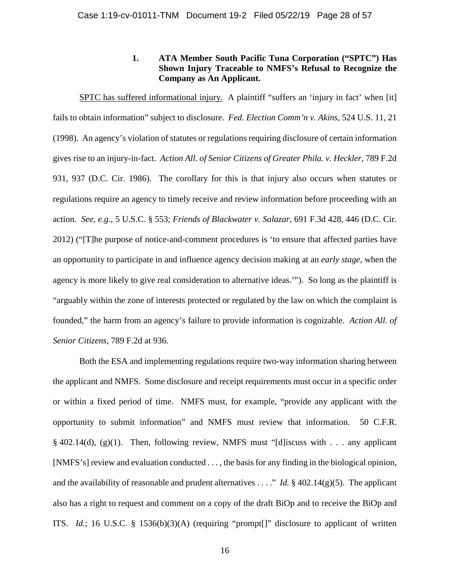# **1. ATA Member South Pacific Tuna Corporation ("SPTC") Has Shown Injury Traceable to NMFS's Refusal to Recognize the Company as An Applicant.**

SPTC has suffered informational injury. A plaintiff "suffers an 'injury in fact' when [it] fails to obtain information" subject to disclosure. *Fed. Election Comm'n v. Akins*, 524 U.S. 11, 21 (1998). An agency's violation of statutes or regulations requiring disclosure of certain information gives rise to an injury-in-fact. *Action All. of Senior Citizens of Greater Phila. v. Heckler*, 789 F.2d 931, 937 (D.C. Cir. 1986). The corollary for this is that injury also occurs when statutes or regulations require an agency to timely receive and review information before proceeding with an action. *See, e.g.*, 5 U.S.C. § 553; *Friends of Blackwater v. Salazar*, 691 F.3d 428, 446 (D.C. Cir. 2012) ("[T]he purpose of notice-and-comment procedures is 'to ensure that affected parties have an opportunity to participate in and influence agency decision making at an *early stage*, when the agency is more likely to give real consideration to alternative ideas.'"). So long as the plaintiff is "arguably within the zone of interests protected or regulated by the law on which the complaint is founded," the harm from an agency's failure to provide information is cognizable. *Action All. of Senior Citizens*, 789 F.2d at 936.

Both the ESA and implementing regulations require two-way information sharing between the applicant and NMFS. Some disclosure and receipt requirements must occur in a specific order or within a fixed period of time. NMFS must, for example, "provide any applicant with the opportunity to submit information" and NMFS must review that information. 50 C.F.R.  $§$  402.14(d), (g)(1). Then, following review, NMFS must "[d] iscuss with . . . any applicant [NMFS's] review and evaluation conducted . . . , the basis for any finding in the biological opinion, and the availability of reasonable and prudent alternatives . . . ." *Id.* § 402.14(g)(5). The applicant also has a right to request and comment on a copy of the draft BiOp and to receive the BiOp and ITS. *Id.*; 16 U.S.C. § 1536(b)(3)(A) (requiring "prompt[]" disclosure to applicant of written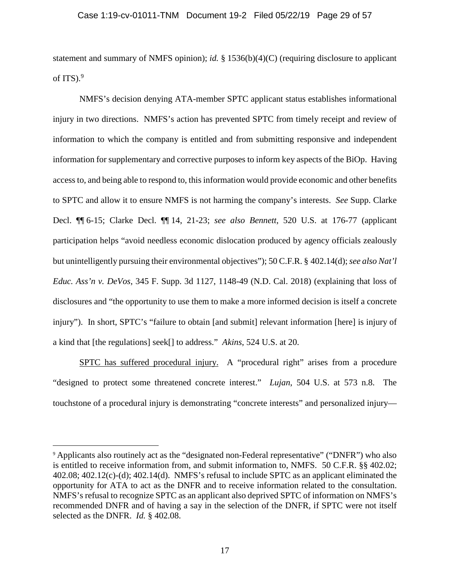statement and summary of NMFS opinion); *id.* § 1536(b)(4)(C) (requiring disclosure to applicant of ITS.<sup>9</sup>

NMFS's decision denying ATA-member SPTC applicant status establishes informational injury in two directions. NMFS's action has prevented SPTC from timely receipt and review of information to which the company is entitled and from submitting responsive and independent information for supplementary and corrective purposes to inform key aspects of the BiOp. Having access to, and being able to respond to, this information would provide economic and other benefits to SPTC and allow it to ensure NMFS is not harming the company's interests. *See* Supp. Clarke Decl. ¶¶ 6-15; Clarke Decl. ¶¶ 14, 21-23; *see also Bennett*, 520 U.S. at 176-77 (applicant participation helps "avoid needless economic dislocation produced by agency officials zealously but unintelligently pursuing their environmental objectives"); 50 C.F.R. § 402.14(d); *see also Nat'l Educ. Ass'n v. DeVos*, 345 F. Supp. 3d 1127, 1148-49 (N.D. Cal. 2018) (explaining that loss of disclosures and "the opportunity to use them to make a more informed decision is itself a concrete injury"). In short, SPTC's "failure to obtain [and submit] relevant information [here] is injury of a kind that [the regulations] seek[] to address." *Akins*, 524 U.S. at 20.

SPTC has suffered procedural injury. A "procedural right" arises from a procedure "designed to protect some threatened concrete interest." *Lujan*, 504 U.S. at 573 n.8. The touchstone of a procedural injury is demonstrating "concrete interests" and personalized injury—

<sup>9</sup> Applicants also routinely act as the "designated non-Federal representative" ("DNFR") who also is entitled to receive information from, and submit information to, NMFS. 50 C.F.R. §§ 402.02; 402.08; 402.12(c)-(d); 402.14(d). NMFS's refusal to include SPTC as an applicant eliminated the opportunity for ATA to act as the DNFR and to receive information related to the consultation. NMFS's refusal to recognize SPTC as an applicant also deprived SPTC of information on NMFS's recommended DNFR and of having a say in the selection of the DNFR, if SPTC were not itself selected as the DNFR. *Id.* § 402.08.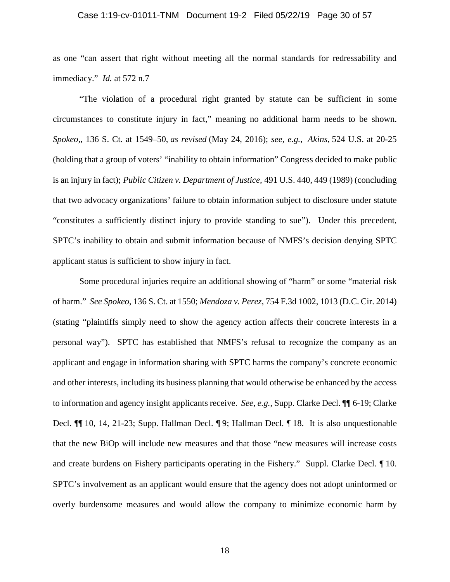#### Case 1:19-cv-01011-TNM Document 19-2 Filed 05/22/19 Page 30 of 57

as one "can assert that right without meeting all the normal standards for redressability and immediacy." *Id.* at 572 n.7

"The violation of a procedural right granted by statute can be sufficient in some circumstances to constitute injury in fact," meaning no additional harm needs to be shown. *Spokeo,*, 136 S. Ct. at 1549–50, *as revised* (May 24, 2016); *see, e.g.*, *Akins,* 524 U.S. at 20-25 (holding that a group of voters' "inability to obtain information" Congress decided to make public is an injury in fact); *Public Citizen v. Department of Justice,* 491 U.S. 440, 449 (1989) (concluding that two advocacy organizations' failure to obtain information subject to disclosure under statute "constitutes a sufficiently distinct injury to provide standing to sue"). Under this precedent, SPTC's inability to obtain and submit information because of NMFS's decision denying SPTC applicant status is sufficient to show injury in fact.

Some procedural injuries require an additional showing of "harm" or some "material risk of harm." *See Spokeo*, 136 S. Ct. at 1550; *Mendoza v. Perez*, 754 F.3d 1002, 1013 (D.C. Cir. 2014) (stating "plaintiffs simply need to show the agency action affects their concrete interests in a personal way"). SPTC has established that NMFS's refusal to recognize the company as an applicant and engage in information sharing with SPTC harms the company's concrete economic and other interests, including its business planning that would otherwise be enhanced by the access to information and agency insight applicants receive. *See, e.g.*, Supp. Clarke Decl. ¶¶ 6-19; Clarke Decl. ¶¶ 10, 14, 21-23; Supp. Hallman Decl. ¶ 9; Hallman Decl. ¶ 18. It is also unquestionable that the new BiOp will include new measures and that those "new measures will increase costs and create burdens on Fishery participants operating in the Fishery." Suppl. Clarke Decl. ¶ 10. SPTC's involvement as an applicant would ensure that the agency does not adopt uninformed or overly burdensome measures and would allow the company to minimize economic harm by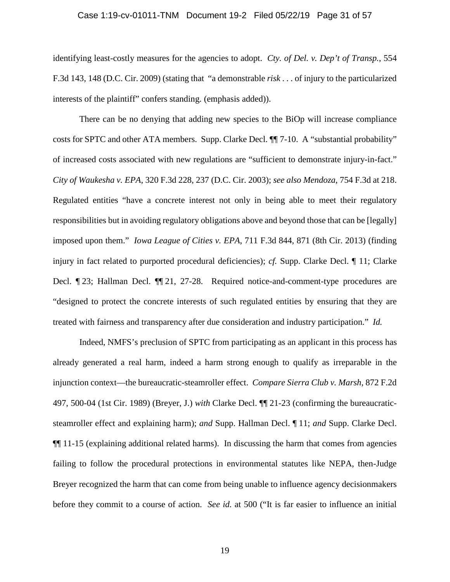#### Case 1:19-cv-01011-TNM Document 19-2 Filed 05/22/19 Page 31 of 57

identifying least-costly measures for the agencies to adopt. *Cty. of Del. v. Dep't of Transp.*, 554 F.3d 143, 148 (D.C. Cir. 2009) (stating that "a demonstrable *risk* . . . of injury to the particularized interests of the plaintiff" confers standing. (emphasis added)).

There can be no denying that adding new species to the BiOp will increase compliance costs for SPTC and other ATA members. Supp. Clarke Decl. ¶¶ 7-10. A "substantial probability" of increased costs associated with new regulations are "sufficient to demonstrate injury-in-fact." *City of Waukesha v. EPA*, 320 F.3d 228, 237 (D.C. Cir. 2003); *see also Mendoza*, 754 F.3d at 218. Regulated entities "have a concrete interest not only in being able to meet their regulatory responsibilities but in avoiding regulatory obligations above and beyond those that can be [legally] imposed upon them." *Iowa League of Cities v. EPA*, 711 F.3d 844, 871 (8th Cir. 2013) (finding injury in fact related to purported procedural deficiencies); *cf.* Supp. Clarke Decl. ¶ 11; Clarke Decl. ¶ 23; Hallman Decl. ¶¶ 21, 27-28. Required notice-and-comment-type procedures are "designed to protect the concrete interests of such regulated entities by ensuring that they are treated with fairness and transparency after due consideration and industry participation." *Id.*

Indeed, NMFS's preclusion of SPTC from participating as an applicant in this process has already generated a real harm, indeed a harm strong enough to qualify as irreparable in the injunction context—the bureaucratic-steamroller effect. *Compare Sierra Club v. Marsh*, 872 F.2d 497, 500-04 (1st Cir. 1989) (Breyer, J.) *with* Clarke Decl. ¶¶ 21-23 (confirming the bureaucraticsteamroller effect and explaining harm); *and* Supp. Hallman Decl. ¶ 11; *and* Supp. Clarke Decl. ¶¶ 11-15 (explaining additional related harms). In discussing the harm that comes from agencies failing to follow the procedural protections in environmental statutes like NEPA, then-Judge Breyer recognized the harm that can come from being unable to influence agency decisionmakers before they commit to a course of action. *See id.* at 500 ("It is far easier to influence an initial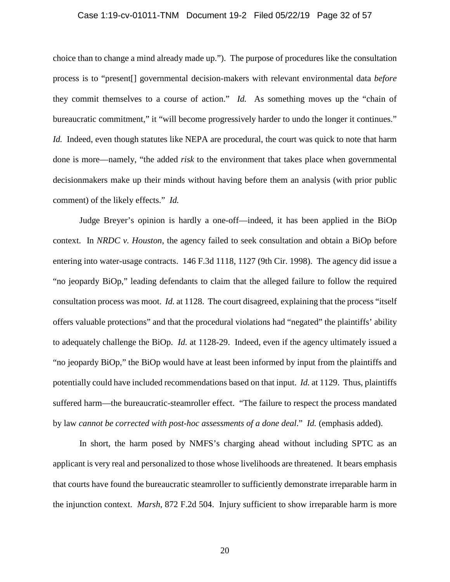#### Case 1:19-cv-01011-TNM Document 19-2 Filed 05/22/19 Page 32 of 57

choice than to change a mind already made up."). The purpose of procedures like the consultation process is to "present[] governmental decision-makers with relevant environmental data *before* they commit themselves to a course of action." *Id.* As something moves up the "chain of bureaucratic commitment," it "will become progressively harder to undo the longer it continues." *Id.* Indeed, even though statutes like NEPA are procedural, the court was quick to note that harm done is more—namely, "the added *risk* to the environment that takes place when governmental decisionmakers make up their minds without having before them an analysis (with prior public comment) of the likely effects." *Id.*

Judge Breyer's opinion is hardly a one-off—indeed, it has been applied in the BiOp context. In *NRDC v. Houston*, the agency failed to seek consultation and obtain a BiOp before entering into water-usage contracts. 146 F.3d 1118, 1127 (9th Cir. 1998). The agency did issue a "no jeopardy BiOp," leading defendants to claim that the alleged failure to follow the required consultation process was moot. *Id.* at 1128. The court disagreed, explaining that the process "itself offers valuable protections" and that the procedural violations had "negated" the plaintiffs' ability to adequately challenge the BiOp. *Id.* at 1128-29. Indeed, even if the agency ultimately issued a "no jeopardy BiOp," the BiOp would have at least been informed by input from the plaintiffs and potentially could have included recommendations based on that input. *Id.* at 1129. Thus, plaintiffs suffered harm—the bureaucratic-steamroller effect. "The failure to respect the process mandated by law *cannot be corrected with post-hoc assessments of a done deal*." *Id.* (emphasis added).

In short, the harm posed by NMFS's charging ahead without including SPTC as an applicant is very real and personalized to those whose livelihoods are threatened. It bears emphasis that courts have found the bureaucratic steamroller to sufficiently demonstrate irreparable harm in the injunction context. *Marsh*, 872 F.2d 504. Injury sufficient to show irreparable harm is more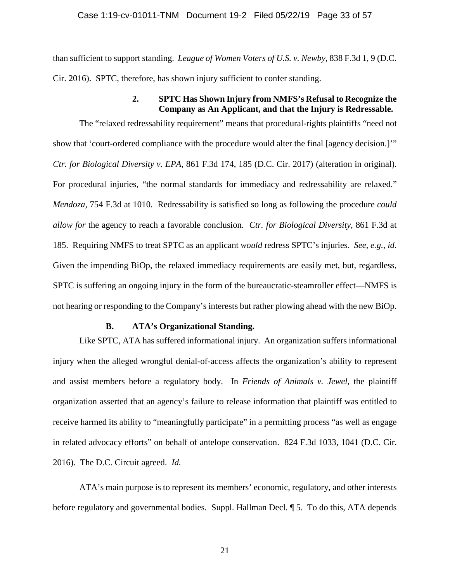than sufficient to support standing. *League of Women Voters of U.S. v. Newby*, 838 F.3d 1, 9 (D.C. Cir. 2016). SPTC, therefore, has shown injury sufficient to confer standing.

# **2. SPTC Has Shown Injury from NMFS's Refusal to Recognize the Company as An Applicant, and that the Injury is Redressable.**

The "relaxed redressability requirement" means that procedural-rights plaintiffs "need not show that 'court-ordered compliance with the procedure would alter the final [agency decision.]'" *Ctr. for Biological Diversity v. EPA*, 861 F.3d 174, 185 (D.C. Cir. 2017) (alteration in original). For procedural injuries, "the normal standards for immediacy and redressability are relaxed." *Mendoza*, 754 F.3d at 1010. Redressability is satisfied so long as following the procedure *could allow for* the agency to reach a favorable conclusion. *Ctr. for Biological Diversity*, 861 F.3d at 185. Requiring NMFS to treat SPTC as an applicant *would* redress SPTC's injuries. *See, e.g.*, *id.* Given the impending BiOp, the relaxed immediacy requirements are easily met, but, regardless, SPTC is suffering an ongoing injury in the form of the bureaucratic-steamroller effect—NMFS is not hearing or responding to the Company's interests but rather plowing ahead with the new BiOp.

#### **B. ATA's Organizational Standing.**

Like SPTC, ATA has suffered informational injury. An organization suffers informational injury when the alleged wrongful denial-of-access affects the organization's ability to represent and assist members before a regulatory body. In *Friends of Animals v. Jewel*, the plaintiff organization asserted that an agency's failure to release information that plaintiff was entitled to receive harmed its ability to "meaningfully participate" in a permitting process "as well as engage in related advocacy efforts" on behalf of antelope conservation. 824 F.3d 1033, 1041 (D.C. Cir. 2016). The D.C. Circuit agreed. *Id.* 

ATA's main purpose is to represent its members' economic, regulatory, and other interests before regulatory and governmental bodies. Suppl. Hallman Decl. ¶ 5. To do this, ATA depends

21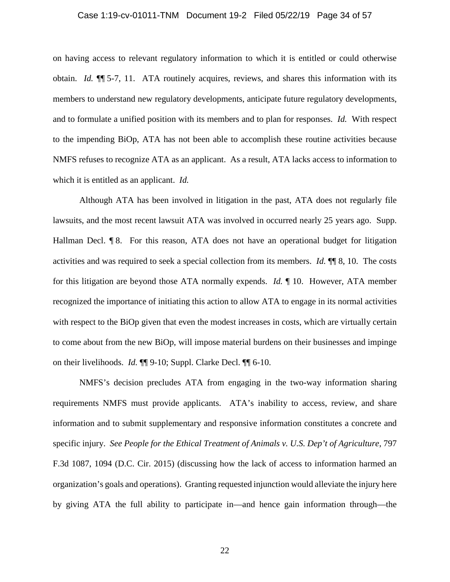#### Case 1:19-cv-01011-TNM Document 19-2 Filed 05/22/19 Page 34 of 57

on having access to relevant regulatory information to which it is entitled or could otherwise obtain. *Id.* ¶¶ 5-7, 11. ATA routinely acquires, reviews, and shares this information with its members to understand new regulatory developments, anticipate future regulatory developments, and to formulate a unified position with its members and to plan for responses. *Id.* With respect to the impending BiOp, ATA has not been able to accomplish these routine activities because NMFS refuses to recognize ATA as an applicant. As a result, ATA lacks access to information to which it is entitled as an applicant. *Id.* 

Although ATA has been involved in litigation in the past, ATA does not regularly file lawsuits, and the most recent lawsuit ATA was involved in occurred nearly 25 years ago. Supp. Hallman Decl. ¶ 8. For this reason, ATA does not have an operational budget for litigation activities and was required to seek a special collection from its members. *Id.* ¶¶ 8, 10. The costs for this litigation are beyond those ATA normally expends. *Id.* ¶ 10. However, ATA member recognized the importance of initiating this action to allow ATA to engage in its normal activities with respect to the BiOp given that even the modest increases in costs, which are virtually certain to come about from the new BiOp, will impose material burdens on their businesses and impinge on their livelihoods. *Id.* ¶¶ 9-10; Suppl. Clarke Decl. ¶¶ 6-10.

NMFS's decision precludes ATA from engaging in the two-way information sharing requirements NMFS must provide applicants. ATA's inability to access, review, and share information and to submit supplementary and responsive information constitutes a concrete and specific injury. *See People for the Ethical Treatment of Animals v. U.S. Dep't of Agriculture*, 797 F.3d 1087, 1094 (D.C. Cir. 2015) (discussing how the lack of access to information harmed an organization's goals and operations). Granting requested injunction would alleviate the injury here by giving ATA the full ability to participate in—and hence gain information through—the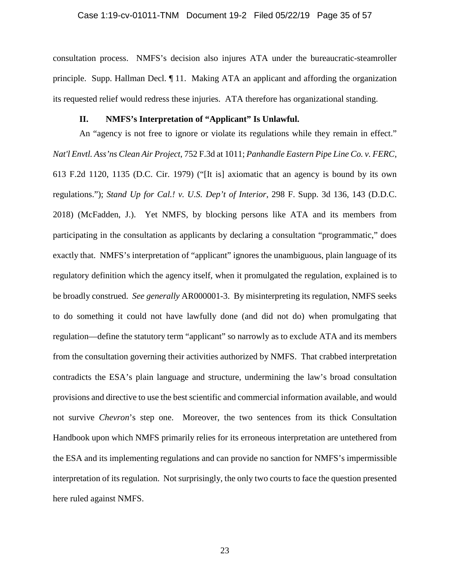consultation process. NMFS's decision also injures ATA under the bureaucratic-steamroller principle. Supp. Hallman Decl. ¶ 11. Making ATA an applicant and affording the organization its requested relief would redress these injuries. ATA therefore has organizational standing.

## **II. NMFS's Interpretation of "Applicant" Is Unlawful.**

An "agency is not free to ignore or violate its regulations while they remain in effect." *Nat'l Envtl. Ass'ns Clean Air Project*, 752 F.3d at 1011; *Panhandle Eastern Pipe Line Co. v. FERC*, 613 F.2d 1120, 1135 (D.C. Cir. 1979) ("[It is] axiomatic that an agency is bound by its own regulations."); *Stand Up for Cal.! v. U.S. Dep't of Interior*, 298 F. Supp. 3d 136, 143 (D.D.C. 2018) (McFadden, J.). Yet NMFS, by blocking persons like ATA and its members from participating in the consultation as applicants by declaring a consultation "programmatic," does exactly that. NMFS's interpretation of "applicant" ignores the unambiguous, plain language of its regulatory definition which the agency itself, when it promulgated the regulation, explained is to be broadly construed. *See generally* AR000001-3. By misinterpreting its regulation, NMFS seeks to do something it could not have lawfully done (and did not do) when promulgating that regulation—define the statutory term "applicant" so narrowly as to exclude ATA and its members from the consultation governing their activities authorized by NMFS. That crabbed interpretation contradicts the ESA's plain language and structure, undermining the law's broad consultation provisions and directive to use the best scientific and commercial information available, and would not survive *Chevron*'s step one. Moreover, the two sentences from its thick Consultation Handbook upon which NMFS primarily relies for its erroneous interpretation are untethered from the ESA and its implementing regulations and can provide no sanction for NMFS's impermissible interpretation of its regulation. Not surprisingly, the only two courts to face the question presented here ruled against NMFS.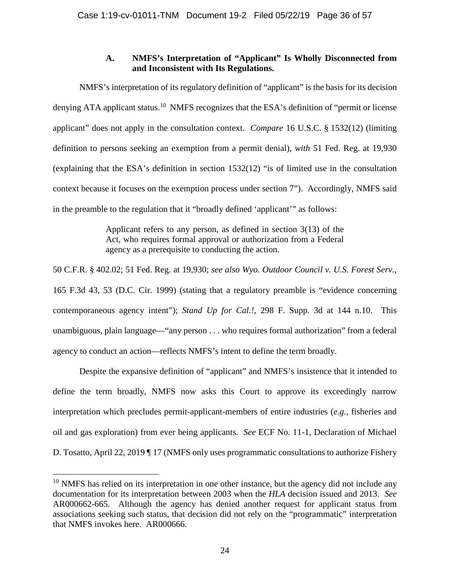# **A. NMFS's Interpretation of "Applicant" Is Wholly Disconnected from and Inconsistent with Its Regulations.**

NMFS's interpretation of its regulatory definition of "applicant" is the basis for its decision denying ATA applicant status.<sup>10</sup> NMFS recognizes that the ESA's definition of "permit or license" applicant" does not apply in the consultation context. *Compare* 16 U.S.C. § 1532(12) (limiting definition to persons seeking an exemption from a permit denial), *with* 51 Fed. Reg. at 19,930 (explaining that the ESA's definition in section 1532(12) "is of limited use in the consultation context because it focuses on the exemption process under section 7"). Accordingly, NMFS said in the preamble to the regulation that it "broadly defined 'applicant'" as follows:

> Applicant refers to any person, as defined in section 3(13) of the Act, who requires formal approval or authorization from a Federal agency as a prerequisite to conducting the action.

50 C.F.R. § 402.02; 51 Fed. Reg. at 19,930; *see also Wyo. Outdoor Council v. U.S. Forest Serv.*, 165 F.3d 43, 53 (D.C. Cir. 1999) (stating that a regulatory preamble is "evidence concerning contemporaneous agency intent"); *Stand Up for Cal.!*, 298 F. Supp. 3d at 144 n.10. This unambiguous, plain language—"any person . . . who requires formal authorization" from a federal agency to conduct an action—reflects NMFS's intent to define the term broadly.

Despite the expansive definition of "applicant" and NMFS's insistence that it intended to define the term broadly, NMFS now asks this Court to approve its exceedingly narrow interpretation which precludes permit-applicant-members of entire industries (*e.g.*, fisheries and oil and gas exploration) from ever being applicants. *See* ECF No. 11-1, Declaration of Michael D. Tosatto, April 22, 2019 ¶ 17 (NMFS only uses programmatic consultations to authorize Fishery

 $10$  NMFS has relied on its interpretation in one other instance, but the agency did not include any documentation for its interpretation between 2003 when the *HLA* decision issued and 2013. *See* AR000662-665. Although the agency has denied another request for applicant status from associations seeking such status, that decision did not rely on the "programmatic" interpretation that NMFS invokes here. AR000666.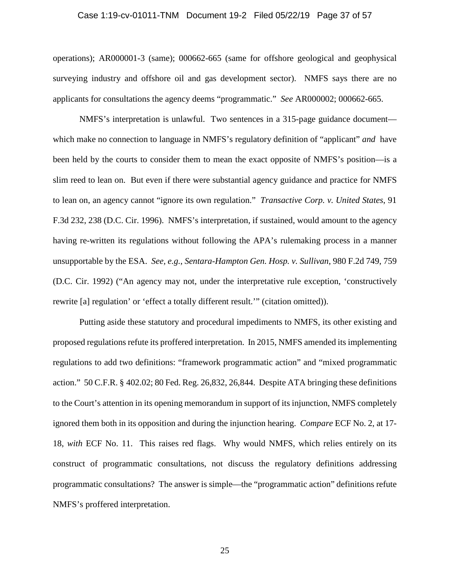#### Case 1:19-cv-01011-TNM Document 19-2 Filed 05/22/19 Page 37 of 57

operations); AR000001-3 (same); 000662-665 (same for offshore geological and geophysical surveying industry and offshore oil and gas development sector). NMFS says there are no applicants for consultations the agency deems "programmatic." *See* AR000002; 000662-665.

NMFS's interpretation is unlawful. Two sentences in a 315-page guidance document which make no connection to language in NMFS's regulatory definition of "applicant" *and* have been held by the courts to consider them to mean the exact opposite of NMFS's position—is a slim reed to lean on. But even if there were substantial agency guidance and practice for NMFS to lean on, an agency cannot "ignore its own regulation." *Transactive Corp. v. United States*, 91 F.3d 232, 238 (D.C. Cir. 1996). NMFS's interpretation, if sustained, would amount to the agency having re-written its regulations without following the APA's rulemaking process in a manner unsupportable by the ESA. *See, e.g.*, *Sentara-Hampton Gen. Hosp. v. Sullivan*, 980 F.2d 749, 759 (D.C. Cir. 1992) ("An agency may not, under the interpretative rule exception, 'constructively rewrite [a] regulation' or 'effect a totally different result.'" (citation omitted)).

Putting aside these statutory and procedural impediments to NMFS, its other existing and proposed regulations refute its proffered interpretation. In 2015, NMFS amended its implementing regulations to add two definitions: "framework programmatic action" and "mixed programmatic action." 50 C.F.R. § 402.02; 80 Fed. Reg. 26,832, 26,844. Despite ATA bringing these definitions to the Court's attention in its opening memorandum in support of its injunction, NMFS completely ignored them both in its opposition and during the injunction hearing. *Compare* ECF No. 2, at 17- 18, *with* ECF No. 11. This raises red flags. Why would NMFS, which relies entirely on its construct of programmatic consultations, not discuss the regulatory definitions addressing programmatic consultations? The answer is simple—the "programmatic action" definitions refute NMFS's proffered interpretation.

25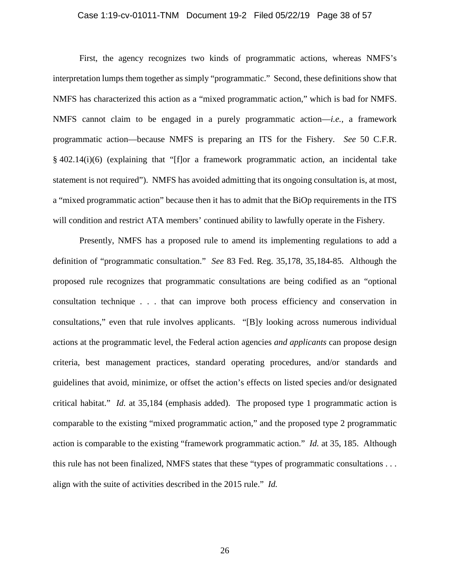#### Case 1:19-cv-01011-TNM Document 19-2 Filed 05/22/19 Page 38 of 57

First, the agency recognizes two kinds of programmatic actions, whereas NMFS's interpretation lumps them together as simply "programmatic." Second, these definitions show that NMFS has characterized this action as a "mixed programmatic action," which is bad for NMFS. NMFS cannot claim to be engaged in a purely programmatic action—*i.e.*, a framework programmatic action—because NMFS is preparing an ITS for the Fishery. *See* 50 C.F.R. § 402.14(i)(6) (explaining that "[f]or a framework programmatic action, an incidental take statement is not required"). NMFS has avoided admitting that its ongoing consultation is, at most, a "mixed programmatic action" because then it has to admit that the BiOp requirements in the ITS will condition and restrict ATA members' continued ability to lawfully operate in the Fishery.

Presently, NMFS has a proposed rule to amend its implementing regulations to add a definition of "programmatic consultation." *See* 83 Fed. Reg. 35,178, 35,184-85. Although the proposed rule recognizes that programmatic consultations are being codified as an "optional consultation technique . . . that can improve both process efficiency and conservation in consultations," even that rule involves applicants. "[B]y looking across numerous individual actions at the programmatic level, the Federal action agencies *and applicants* can propose design criteria, best management practices, standard operating procedures, and/or standards and guidelines that avoid, minimize, or offset the action's effects on listed species and/or designated critical habitat." *Id.* at 35,184 (emphasis added). The proposed type 1 programmatic action is comparable to the existing "mixed programmatic action," and the proposed type 2 programmatic action is comparable to the existing "framework programmatic action." *Id.* at 35, 185. Although this rule has not been finalized, NMFS states that these "types of programmatic consultations . . . align with the suite of activities described in the 2015 rule." *Id.*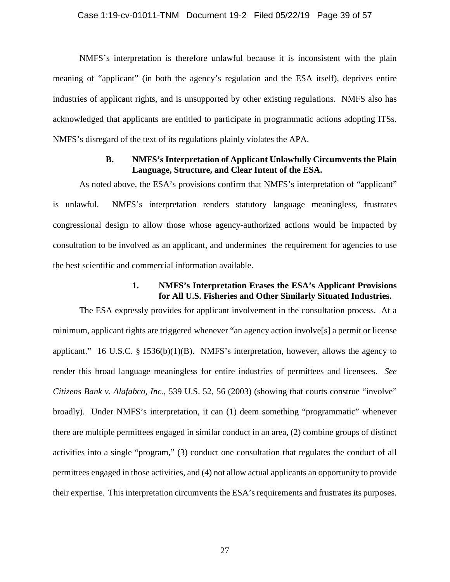NMFS's interpretation is therefore unlawful because it is inconsistent with the plain meaning of "applicant" (in both the agency's regulation and the ESA itself), deprives entire industries of applicant rights, and is unsupported by other existing regulations. NMFS also has acknowledged that applicants are entitled to participate in programmatic actions adopting ITSs. NMFS's disregard of the text of its regulations plainly violates the APA.

# **B. NMFS's Interpretation of Applicant Unlawfully Circumvents the Plain Language, Structure, and Clear Intent of the ESA.**

As noted above, the ESA's provisions confirm that NMFS's interpretation of "applicant" is unlawful. NMFS's interpretation renders statutory language meaningless, frustrates congressional design to allow those whose agency-authorized actions would be impacted by consultation to be involved as an applicant, and undermines the requirement for agencies to use the best scientific and commercial information available.

### **1. NMFS's Interpretation Erases the ESA's Applicant Provisions for All U.S. Fisheries and Other Similarly Situated Industries.**

The ESA expressly provides for applicant involvement in the consultation process. At a minimum, applicant rights are triggered whenever "an agency action involve[s] a permit or license applicant." 16 U.S.C. § 1536(b)(1)(B). NMFS's interpretation, however, allows the agency to render this broad language meaningless for entire industries of permittees and licensees. *See Citizens Bank v. Alafabco, Inc.*, 539 U.S. 52, 56 (2003) (showing that courts construe "involve" broadly). Under NMFS's interpretation, it can (1) deem something "programmatic" whenever there are multiple permittees engaged in similar conduct in an area, (2) combine groups of distinct activities into a single "program," (3) conduct one consultation that regulates the conduct of all permittees engaged in those activities, and (4) not allow actual applicants an opportunity to provide their expertise. This interpretation circumvents the ESA's requirements and frustrates its purposes.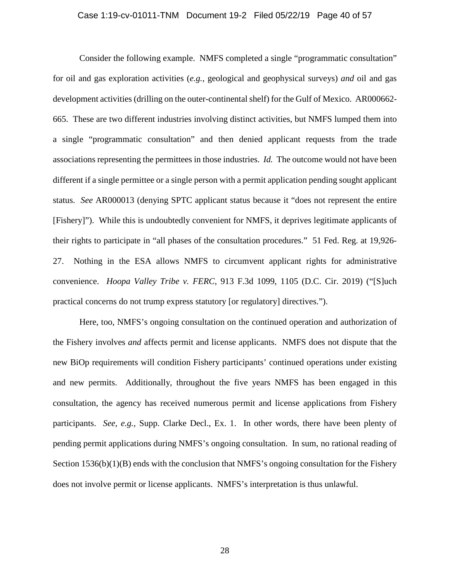#### Case 1:19-cv-01011-TNM Document 19-2 Filed 05/22/19 Page 40 of 57

Consider the following example. NMFS completed a single "programmatic consultation" for oil and gas exploration activities (*e.g.*, geological and geophysical surveys) *and* oil and gas development activities (drilling on the outer-continental shelf) for the Gulf of Mexico. AR000662- 665. These are two different industries involving distinct activities, but NMFS lumped them into a single "programmatic consultation" and then denied applicant requests from the trade associations representing the permittees in those industries. *Id.* The outcome would not have been different if a single permittee or a single person with a permit application pending sought applicant status. *See* AR000013 (denying SPTC applicant status because it "does not represent the entire [Fishery]"). While this is undoubtedly convenient for NMFS, it deprives legitimate applicants of their rights to participate in "all phases of the consultation procedures." 51 Fed. Reg. at 19,926- 27. Nothing in the ESA allows NMFS to circumvent applicant rights for administrative convenience. *Hoopa Valley Tribe v. FERC*, 913 F.3d 1099, 1105 (D.C. Cir. 2019) ("[S]uch practical concerns do not trump express statutory [or regulatory] directives.").

Here, too, NMFS's ongoing consultation on the continued operation and authorization of the Fishery involves *and* affects permit and license applicants. NMFS does not dispute that the new BiOp requirements will condition Fishery participants' continued operations under existing and new permits. Additionally, throughout the five years NMFS has been engaged in this consultation, the agency has received numerous permit and license applications from Fishery participants. *See, e.g.*, Supp. Clarke Decl., Ex. 1. In other words, there have been plenty of pending permit applications during NMFS's ongoing consultation. In sum, no rational reading of Section  $1536(b)(1)(B)$  ends with the conclusion that NMFS's ongoing consultation for the Fishery does not involve permit or license applicants. NMFS's interpretation is thus unlawful.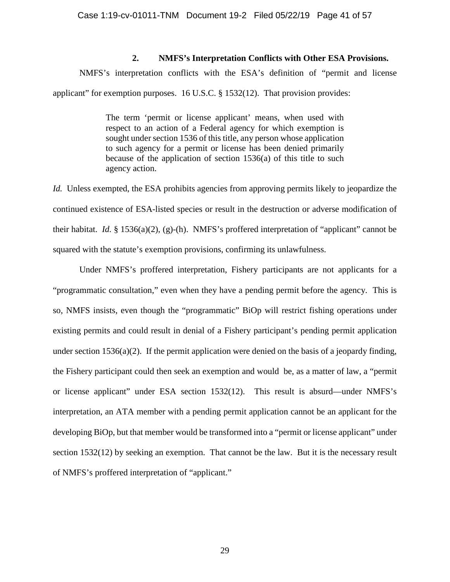# **2. NMFS's Interpretation Conflicts with Other ESA Provisions.**

NMFS's interpretation conflicts with the ESA's definition of "permit and license applicant" for exemption purposes. 16 U.S.C. § 1532(12). That provision provides:

> The term 'permit or license applicant' means, when used with respect to an action of a Federal agency for which exemption is sought under section 1536 of this title, any person whose application to such agency for a permit or license has been denied primarily because of the application of section 1536(a) of this title to such agency action.

*Id.* Unless exempted, the ESA prohibits agencies from approving permits likely to jeopardize the continued existence of ESA-listed species or result in the destruction or adverse modification of their habitat. *Id.* § 1536(a)(2), (g)-(h). NMFS's proffered interpretation of "applicant" cannot be squared with the statute's exemption provisions, confirming its unlawfulness.

Under NMFS's proffered interpretation, Fishery participants are not applicants for a "programmatic consultation," even when they have a pending permit before the agency. This is so, NMFS insists, even though the "programmatic" BiOp will restrict fishing operations under existing permits and could result in denial of a Fishery participant's pending permit application under section  $1536(a)(2)$ . If the permit application were denied on the basis of a jeopardy finding, the Fishery participant could then seek an exemption and would be, as a matter of law, a "permit or license applicant" under ESA section 1532(12). This result is absurd—under NMFS's interpretation, an ATA member with a pending permit application cannot be an applicant for the developing BiOp, but that member would be transformed into a "permit or license applicant" under section 1532(12) by seeking an exemption. That cannot be the law. But it is the necessary result of NMFS's proffered interpretation of "applicant."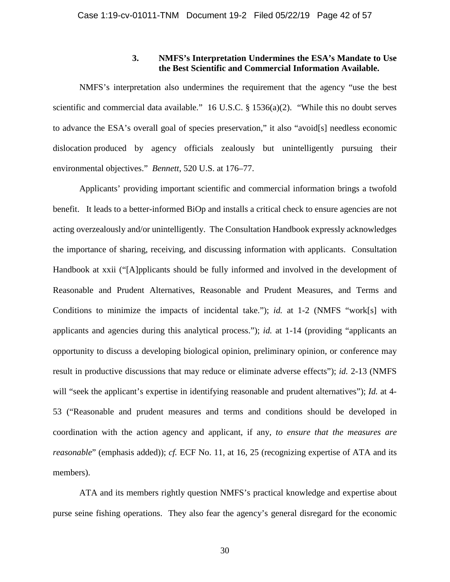### **3. NMFS's Interpretation Undermines the ESA's Mandate to Use the Best Scientific and Commercial Information Available.**

NMFS's interpretation also undermines the requirement that the agency "use the best scientific and commercial data available." 16 U.S.C. § 1536(a)(2). "While this no doubt serves to advance the ESA's overall goal of species preservation," it also "avoid[s] needless economic dislocation produced by agency officials zealously but unintelligently pursuing their environmental objectives." *Bennett*, 520 U.S. at 176–77.

Applicants' providing important scientific and commercial information brings a twofold benefit. It leads to a better-informed BiOp and installs a critical check to ensure agencies are not acting overzealously and/or unintelligently. The Consultation Handbook expressly acknowledges the importance of sharing, receiving, and discussing information with applicants. Consultation Handbook at xxii ("[A]pplicants should be fully informed and involved in the development of Reasonable and Prudent Alternatives, Reasonable and Prudent Measures, and Terms and Conditions to minimize the impacts of incidental take."); *id.* at 1-2 (NMFS "work[s] with applicants and agencies during this analytical process."); *id.* at 1-14 (providing "applicants an opportunity to discuss a developing biological opinion, preliminary opinion, or conference may result in productive discussions that may reduce or eliminate adverse effects"); *id.* 2-13 (NMFS will "seek the applicant's expertise in identifying reasonable and prudent alternatives"); *Id.* at 4-53 ("Reasonable and prudent measures and terms and conditions should be developed in coordination with the action agency and applicant, if any, *to ensure that the measures are reasonable*" (emphasis added)); *cf.* ECF No. 11, at 16, 25 (recognizing expertise of ATA and its members).

ATA and its members rightly question NMFS's practical knowledge and expertise about purse seine fishing operations. They also fear the agency's general disregard for the economic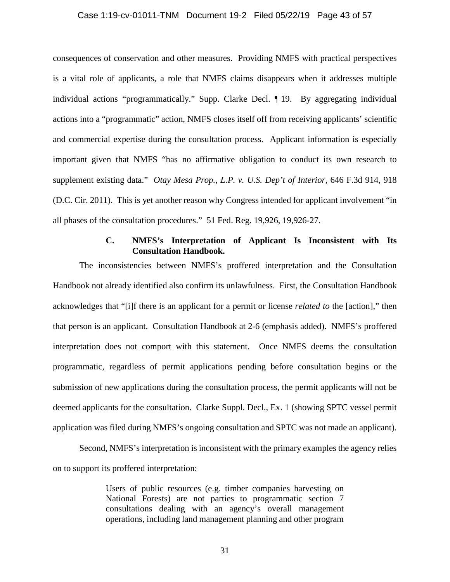#### Case 1:19-cv-01011-TNM Document 19-2 Filed 05/22/19 Page 43 of 57

consequences of conservation and other measures. Providing NMFS with practical perspectives is a vital role of applicants, a role that NMFS claims disappears when it addresses multiple individual actions "programmatically." Supp. Clarke Decl. ¶ 19. By aggregating individual actions into a "programmatic" action, NMFS closes itself off from receiving applicants' scientific and commercial expertise during the consultation process. Applicant information is especially important given that NMFS "has no affirmative obligation to conduct its own research to supplement existing data." *Otay Mesa Prop., L.P. v. U.S. Dep't of Interior*, 646 F.3d 914, 918 (D.C. Cir. 2011). This is yet another reason why Congress intended for applicant involvement "in all phases of the consultation procedures." 51 Fed. Reg. 19,926, 19,926-27.

### **C. NMFS's Interpretation of Applicant Is Inconsistent with Its Consultation Handbook.**

The inconsistencies between NMFS's proffered interpretation and the Consultation Handbook not already identified also confirm its unlawfulness. First, the Consultation Handbook acknowledges that "[i]f there is an applicant for a permit or license *related to* the [action]," then that person is an applicant. Consultation Handbook at 2-6 (emphasis added). NMFS's proffered interpretation does not comport with this statement. Once NMFS deems the consultation programmatic, regardless of permit applications pending before consultation begins or the submission of new applications during the consultation process, the permit applicants will not be deemed applicants for the consultation. Clarke Suppl. Decl., Ex. 1 (showing SPTC vessel permit application was filed during NMFS's ongoing consultation and SPTC was not made an applicant).

Second, NMFS's interpretation is inconsistent with the primary examples the agency relies on to support its proffered interpretation:

> Users of public resources (e.g. timber companies harvesting on National Forests) are not parties to programmatic section 7 consultations dealing with an agency's overall management operations, including land management planning and other program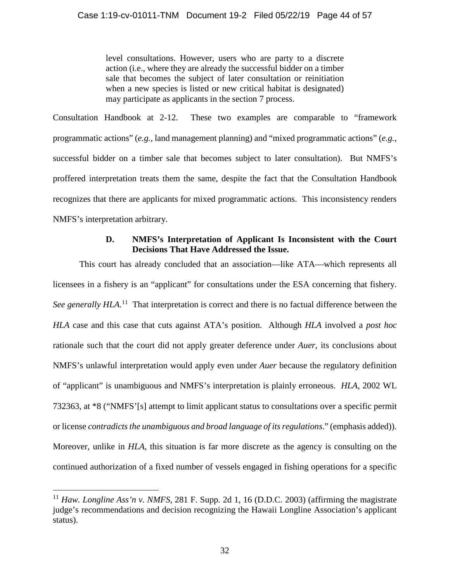level consultations. However, users who are party to a discrete action (i.e., where they are already the successful bidder on a timber sale that becomes the subject of later consultation or reinitiation when a new species is listed or new critical habitat is designated) may participate as applicants in the section 7 process.

Consultation Handbook at 2-12. These two examples are comparable to "framework programmatic actions" (*e.g.*, land management planning) and "mixed programmatic actions" (*e.g.*, successful bidder on a timber sale that becomes subject to later consultation). But NMFS's proffered interpretation treats them the same, despite the fact that the Consultation Handbook recognizes that there are applicants for mixed programmatic actions. This inconsistency renders NMFS's interpretation arbitrary.

# **D. NMFS's Interpretation of Applicant Is Inconsistent with the Court Decisions That Have Addressed the Issue.**

This court has already concluded that an association—like ATA—which represents all licensees in a fishery is an "applicant" for consultations under the ESA concerning that fishery. See generally HLA.<sup>11</sup> That interpretation is correct and there is no factual difference between the *HLA* case and this case that cuts against ATA's position. Although *HLA* involved a *post hoc*  rationale such that the court did not apply greater deference under *Auer*, its conclusions about NMFS's unlawful interpretation would apply even under *Auer* because the regulatory definition of "applicant" is unambiguous and NMFS's interpretation is plainly erroneous. *HLA*, 2002 WL 732363, at \*8 ("NMFS'[s] attempt to limit applicant status to consultations over a specific permit or license *contradicts the unambiguous and broad language of its regulations*." (emphasis added)). Moreover, unlike in *HLA*, this situation is far more discrete as the agency is consulting on the continued authorization of a fixed number of vessels engaged in fishing operations for a specific

<sup>&</sup>lt;sup>11</sup> Haw. Longline Ass'n v. NMFS, 281 F. Supp. 2d 1, 16 (D.D.C. 2003) (affirming the magistrate judge's recommendations and decision recognizing the Hawaii Longline Association's applicant status).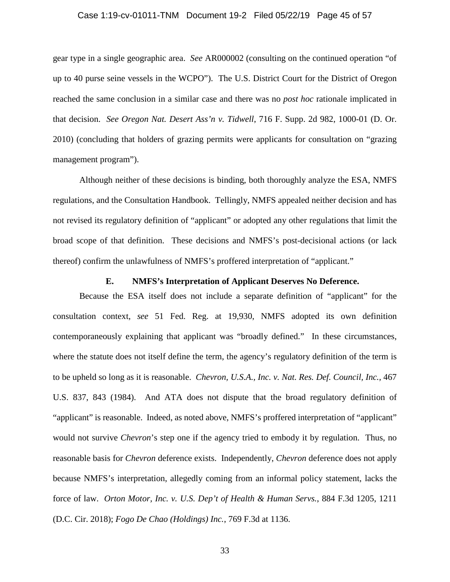#### Case 1:19-cv-01011-TNM Document 19-2 Filed 05/22/19 Page 45 of 57

gear type in a single geographic area. *See* AR000002 (consulting on the continued operation "of up to 40 purse seine vessels in the WCPO"). The U.S. District Court for the District of Oregon reached the same conclusion in a similar case and there was no *post hoc* rationale implicated in that decision. *See Oregon Nat. Desert Ass'n v. Tidwell*, 716 F. Supp. 2d 982, 1000-01 (D. Or. 2010) (concluding that holders of grazing permits were applicants for consultation on "grazing management program").

Although neither of these decisions is binding, both thoroughly analyze the ESA, NMFS regulations, and the Consultation Handbook. Tellingly, NMFS appealed neither decision and has not revised its regulatory definition of "applicant" or adopted any other regulations that limit the broad scope of that definition. These decisions and NMFS's post-decisional actions (or lack thereof) confirm the unlawfulness of NMFS's proffered interpretation of "applicant."

#### **E. NMFS's Interpretation of Applicant Deserves No Deference.**

Because the ESA itself does not include a separate definition of "applicant" for the consultation context, *see* 51 Fed. Reg. at 19,930, NMFS adopted its own definition contemporaneously explaining that applicant was "broadly defined." In these circumstances, where the statute does not itself define the term, the agency's regulatory definition of the term is to be upheld so long as it is reasonable. *Chevron, U.S.A., Inc. v. Nat. Res. Def. Council, Inc.,* 467 U.S. 837, 843 (1984). And ATA does not dispute that the broad regulatory definition of "applicant" is reasonable. Indeed, as noted above, NMFS's proffered interpretation of "applicant" would not survive *Chevron*'s step one if the agency tried to embody it by regulation. Thus, no reasonable basis for *Chevron* deference exists. Independently, *Chevron* deference does not apply because NMFS's interpretation, allegedly coming from an informal policy statement, lacks the force of law. *Orton Motor, Inc. v. U.S. Dep't of Health & Human Servs.*, 884 F.3d 1205, 1211 (D.C. Cir. 2018); *Fogo De Chao (Holdings) Inc.*, 769 F.3d at 1136.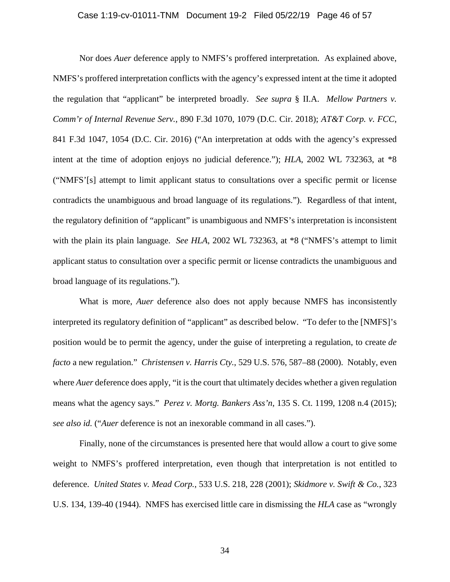#### Case 1:19-cv-01011-TNM Document 19-2 Filed 05/22/19 Page 46 of 57

Nor does *Auer* deference apply to NMFS's proffered interpretation. As explained above, NMFS's proffered interpretation conflicts with the agency's expressed intent at the time it adopted the regulation that "applicant" be interpreted broadly. *See supra* § II.A. *Mellow Partners v. Comm'r of Internal Revenue Serv.*, 890 F.3d 1070, 1079 (D.C. Cir. 2018); *AT&T Corp. v. FCC*, 841 F.3d 1047, 1054 (D.C. Cir. 2016) ("An interpretation at odds with the agency's expressed intent at the time of adoption enjoys no judicial deference."); *HLA*, 2002 WL 732363, at \*8 ("NMFS'[s] attempt to limit applicant status to consultations over a specific permit or license contradicts the unambiguous and broad language of its regulations."). Regardless of that intent, the regulatory definition of "applicant" is unambiguous and NMFS's interpretation is inconsistent with the plain its plain language. *See HLA*, 2002 WL 732363, at  $*8$  ("NMFS's attempt to limit applicant status to consultation over a specific permit or license contradicts the unambiguous and broad language of its regulations.").

What is more, *Auer* deference also does not apply because NMFS has inconsistently interpreted its regulatory definition of "applicant" as described below. "To defer to the [NMFS]'s position would be to permit the agency, under the guise of interpreting a regulation, to create *de facto* a new regulation." *Christensen v. Harris Cty.*, 529 U.S. 576, 587–88 (2000). Notably, even where *Auer* deference does apply, "it is the court that ultimately decides whether a given regulation means what the agency says." *Perez v. Mortg. Bankers Ass'n*, 135 S. Ct. 1199, 1208 n.4 (2015); *see also id.* ("*Auer* deference is not an inexorable command in all cases.").

Finally, none of the circumstances is presented here that would allow a court to give some weight to NMFS's proffered interpretation, even though that interpretation is not entitled to deference. *United States v. Mead Corp.*, 533 U.S. 218, 228 (2001); *Skidmore v. Swift & Co.*, 323 U.S. 134, 139-40 (1944). NMFS has exercised little care in dismissing the *HLA* case as "wrongly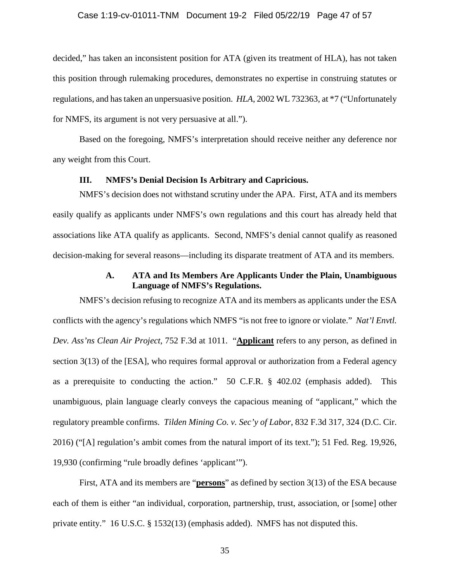#### Case 1:19-cv-01011-TNM Document 19-2 Filed 05/22/19 Page 47 of 57

decided," has taken an inconsistent position for ATA (given its treatment of HLA), has not taken this position through rulemaking procedures, demonstrates no expertise in construing statutes or regulations, and has taken an unpersuasive position. *HLA*, 2002 WL 732363, at \*7 ("Unfortunately for NMFS, its argument is not very persuasive at all.").

Based on the foregoing, NMFS's interpretation should receive neither any deference nor any weight from this Court.

#### **III. NMFS's Denial Decision Is Arbitrary and Capricious.**

NMFS's decision does not withstand scrutiny under the APA. First, ATA and its members easily qualify as applicants under NMFS's own regulations and this court has already held that associations like ATA qualify as applicants. Second, NMFS's denial cannot qualify as reasoned decision-making for several reasons—including its disparate treatment of ATA and its members.

# **A. ATA and Its Members Are Applicants Under the Plain, Unambiguous Language of NMFS's Regulations.**

NMFS's decision refusing to recognize ATA and its members as applicants under the ESA conflicts with the agency's regulations which NMFS "is not free to ignore or violate." *Nat'l Envtl. Dev. Ass'ns Clean Air Project*, 752 F.3d at 1011. "**Applicant** refers to any person, as defined in section 3(13) of the [ESA], who requires formal approval or authorization from a Federal agency as a prerequisite to conducting the action." 50 C.F.R. § 402.02 (emphasis added). This unambiguous, plain language clearly conveys the capacious meaning of "applicant," which the regulatory preamble confirms. *Tilden Mining Co. v. Sec'y of Labor*, 832 F.3d 317, 324 (D.C. Cir. 2016) ("[A] regulation's ambit comes from the natural import of its text."); 51 Fed. Reg. 19,926, 19,930 (confirming "rule broadly defines 'applicant'").

First, ATA and its members are "**persons**" as defined by section 3(13) of the ESA because each of them is either "an individual, corporation, partnership, trust, association, or [some] other private entity." 16 U.S.C. § 1532(13) (emphasis added). NMFS has not disputed this.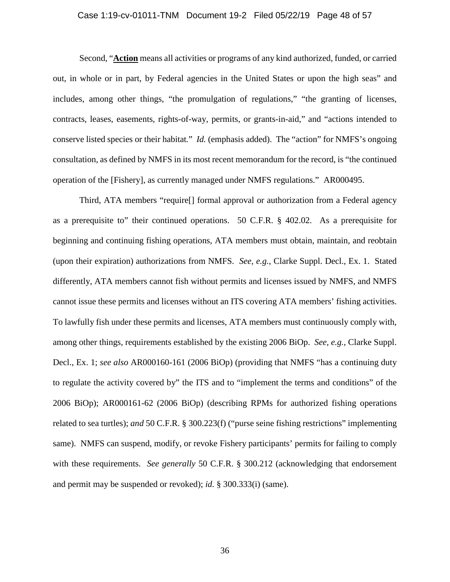#### Case 1:19-cv-01011-TNM Document 19-2 Filed 05/22/19 Page 48 of 57

Second, "**Action** means all activities or programs of any kind authorized, funded, or carried out, in whole or in part, by Federal agencies in the United States or upon the high seas" and includes, among other things, "the promulgation of regulations," "the granting of licenses, contracts, leases, easements, rights-of-way, permits, or grants-in-aid," and "actions intended to conserve listed species or their habitat*.*" *Id.* (emphasis added). The "action" for NMFS's ongoing consultation, as defined by NMFS in its most recent memorandum for the record, is "the continued operation of the [Fishery], as currently managed under NMFS regulations." AR000495.

Third, ATA members "require[] formal approval or authorization from a Federal agency as a prerequisite to" their continued operations. 50 C.F.R. § 402.02. As a prerequisite for beginning and continuing fishing operations, ATA members must obtain, maintain, and reobtain (upon their expiration) authorizations from NMFS. *See, e.g.*, Clarke Suppl. Decl., Ex. 1. Stated differently, ATA members cannot fish without permits and licenses issued by NMFS, and NMFS cannot issue these permits and licenses without an ITS covering ATA members' fishing activities. To lawfully fish under these permits and licenses, ATA members must continuously comply with, among other things, requirements established by the existing 2006 BiOp. *See, e.g.*, Clarke Suppl. Decl., Ex. 1; *see also* AR000160-161 (2006 BiOp) (providing that NMFS "has a continuing duty to regulate the activity covered by" the ITS and to "implement the terms and conditions" of the 2006 BiOp); AR000161-62 (2006 BiOp) (describing RPMs for authorized fishing operations related to sea turtles); *and* 50 C.F.R. § 300.223(f) ("purse seine fishing restrictions" implementing same). NMFS can suspend, modify, or revoke Fishery participants' permits for failing to comply with these requirements. *See generally* 50 C.F.R. § 300.212 (acknowledging that endorsement and permit may be suspended or revoked); *id.* § 300.333(i) (same).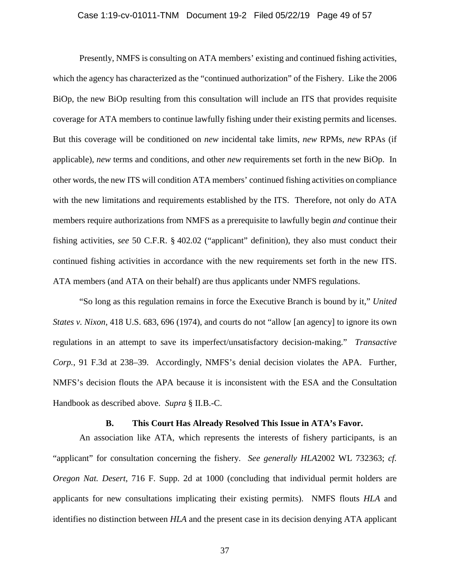#### Case 1:19-cv-01011-TNM Document 19-2 Filed 05/22/19 Page 49 of 57

Presently, NMFS is consulting on ATA members' existing and continued fishing activities, which the agency has characterized as the "continued authorization" of the Fishery. Like the 2006 BiOp, the new BiOp resulting from this consultation will include an ITS that provides requisite coverage for ATA members to continue lawfully fishing under their existing permits and licenses. But this coverage will be conditioned on *new* incidental take limits, *new* RPMs, *new* RPAs (if applicable), *new* terms and conditions, and other *new* requirements set forth in the new BiOp. In other words, the new ITS will condition ATA members' continued fishing activities on compliance with the new limitations and requirements established by the ITS. Therefore, not only do ATA members require authorizations from NMFS as a prerequisite to lawfully begin *and* continue their fishing activities, *see* 50 C.F.R. § 402.02 ("applicant" definition), they also must conduct their continued fishing activities in accordance with the new requirements set forth in the new ITS. ATA members (and ATA on their behalf) are thus applicants under NMFS regulations.

"So long as this regulation remains in force the Executive Branch is bound by it," *United States v. Nixon*, 418 U.S. 683, 696 (1974), and courts do not "allow [an agency] to ignore its own regulations in an attempt to save its imperfect/unsatisfactory decision-making." *Transactive Corp.*, 91 F.3d at 238–39. Accordingly, NMFS's denial decision violates the APA. Further, NMFS's decision flouts the APA because it is inconsistent with the ESA and the Consultation Handbook as described above. *Supra* § II.B.-C.

#### **B. This Court Has Already Resolved This Issue in ATA's Favor.**

An association like ATA, which represents the interests of fishery participants, is an "applicant" for consultation concerning the fishery. *See generally HLA*2002 WL 732363; *cf. Oregon Nat. Desert*, 716 F. Supp. 2d at 1000 (concluding that individual permit holders are applicants for new consultations implicating their existing permits). NMFS flouts *HLA* and identifies no distinction between *HLA* and the present case in its decision denying ATA applicant

37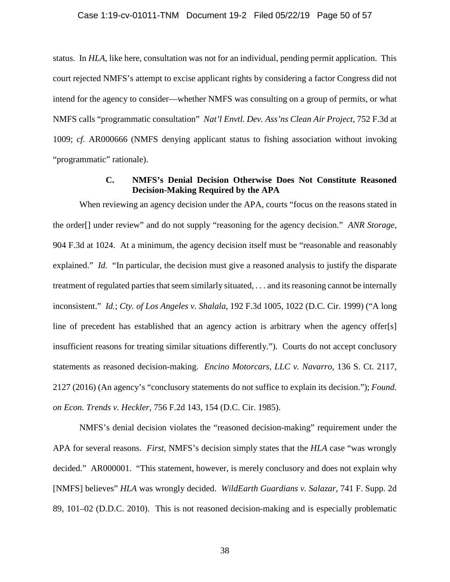#### Case 1:19-cv-01011-TNM Document 19-2 Filed 05/22/19 Page 50 of 57

status. In *HLA*, like here, consultation was not for an individual, pending permit application. This court rejected NMFS's attempt to excise applicant rights by considering a factor Congress did not intend for the agency to consider—whether NMFS was consulting on a group of permits, or what NMFS calls "programmatic consultation" *Nat'l Envtl. Dev. Ass'ns Clean Air Project*, 752 F.3d at 1009; *cf.* AR000666 (NMFS denying applicant status to fishing association without invoking "programmatic" rationale).

# **C. NMFS's Denial Decision Otherwise Does Not Constitute Reasoned Decision-Making Required by the APA**

When reviewing an agency decision under the APA, courts "focus on the reasons stated in the order[] under review" and do not supply "reasoning for the agency decision." *ANR Storage*, 904 F.3d at 1024. At a minimum, the agency decision itself must be "reasonable and reasonably explained." *Id.* "In particular, the decision must give a reasoned analysis to justify the disparate treatment of regulated parties that seem similarly situated, . . . and its reasoning cannot be internally inconsistent." *Id.*; *Cty. of Los Angeles v. Shalala*, 192 F.3d 1005, 1022 (D.C. Cir. 1999) ("A long line of precedent has established that an agency action is arbitrary when the agency offer[s] insufficient reasons for treating similar situations differently."). Courts do not accept conclusory statements as reasoned decision-making. *Encino Motorcars, LLC v. Navarro*, 136 S. Ct. 2117, 2127 (2016) (An agency's "conclusory statements do not suffice to explain its decision."); *Found. on Econ. Trends v. Heckler*, 756 F.2d 143, 154 (D.C. Cir. 1985).

NMFS's denial decision violates the "reasoned decision-making" requirement under the APA for several reasons. *First*, NMFS's decision simply states that the *HLA* case "was wrongly decided." AR000001. "This statement, however, is merely conclusory and does not explain why [NMFS] believes" *HLA* was wrongly decided. *WildEarth Guardians v. Salazar*, 741 F. Supp. 2d 89, 101–02 (D.D.C. 2010). This is not reasoned decision-making and is especially problematic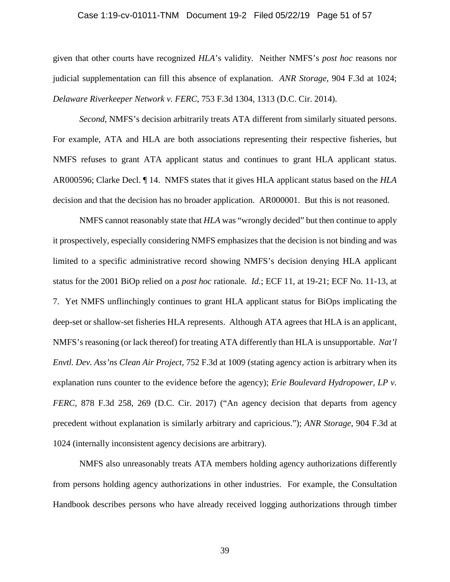#### Case 1:19-cv-01011-TNM Document 19-2 Filed 05/22/19 Page 51 of 57

given that other courts have recognized *HLA*'s validity. Neither NMFS's *post hoc* reasons nor judicial supplementation can fill this absence of explanation. *ANR Storage*, 904 F.3d at 1024; *Delaware Riverkeeper Network v. FERC*, 753 F.3d 1304, 1313 (D.C. Cir. 2014).

*Second*, NMFS's decision arbitrarily treats ATA different from similarly situated persons. For example, ATA and HLA are both associations representing their respective fisheries, but NMFS refuses to grant ATA applicant status and continues to grant HLA applicant status. AR000596; Clarke Decl. ¶ 14. NMFS states that it gives HLA applicant status based on the *HLA* decision and that the decision has no broader application. AR000001. But this is not reasoned.

NMFS cannot reasonably state that *HLA* was "wrongly decided" but then continue to apply it prospectively, especially considering NMFS emphasizes that the decision is not binding and was limited to a specific administrative record showing NMFS's decision denying HLA applicant status for the 2001 BiOp relied on a *post hoc* rationale. *Id.*; ECF 11, at 19-21; ECF No. 11-13, at 7. Yet NMFS unflinchingly continues to grant HLA applicant status for BiOps implicating the deep-set or shallow-set fisheries HLA represents. Although ATA agrees that HLA is an applicant, NMFS's reasoning (or lack thereof) for treating ATA differently than HLA is unsupportable. *Nat'l Envtl. Dev. Ass'ns Clean Air Project*, 752 F.3d at 1009 (stating agency action is arbitrary when its explanation runs counter to the evidence before the agency); *Erie Boulevard Hydropower, LP v. FERC*, 878 F.3d 258, 269 (D.C. Cir. 2017) ("An agency decision that departs from agency precedent without explanation is similarly arbitrary and capricious."); *ANR Storage*, 904 F.3d at 1024 (internally inconsistent agency decisions are arbitrary).

NMFS also unreasonably treats ATA members holding agency authorizations differently from persons holding agency authorizations in other industries. For example, the Consultation Handbook describes persons who have already received logging authorizations through timber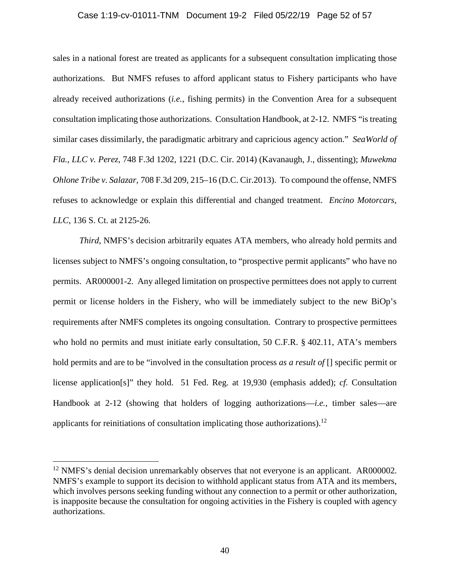#### Case 1:19-cv-01011-TNM Document 19-2 Filed 05/22/19 Page 52 of 57

sales in a national forest are treated as applicants for a subsequent consultation implicating those authorizations. But NMFS refuses to afford applicant status to Fishery participants who have already received authorizations (*i.e.*, fishing permits) in the Convention Area for a subsequent consultation implicating those authorizations. Consultation Handbook, at 2-12. NMFS "is treating similar cases dissimilarly, the paradigmatic arbitrary and capricious agency action." *SeaWorld of Fla., LLC v. Perez*, 748 F.3d 1202, 1221 (D.C. Cir. 2014) (Kavanaugh, J., dissenting); *Muwekma Ohlone Tribe v. Salazar,* 708 F.3d 209, 215–16 (D.C. Cir.2013). To compound the offense, NMFS refuses to acknowledge or explain this differential and changed treatment. *Encino Motorcars, LLC*, 136 S. Ct. at 2125-26.

*Third*, NMFS's decision arbitrarily equates ATA members, who already hold permits and licenses subject to NMFS's ongoing consultation, to "prospective permit applicants" who have no permits. AR000001-2. Any alleged limitation on prospective permittees does not apply to current permit or license holders in the Fishery, who will be immediately subject to the new BiOp's requirements after NMFS completes its ongoing consultation. Contrary to prospective permittees who hold no permits and must initiate early consultation, 50 C.F.R. § 402.11, ATA's members hold permits and are to be "involved in the consultation process *as a result of* [] specific permit or license application[s]" they hold. 51 Fed. Reg. at 19,930 (emphasis added); *cf.* Consultation Handbook at 2-12 (showing that holders of logging authorizations—*i.e.*, timber sales—are applicants for reinitiations of consultation implicating those authorizations).<sup>12</sup>

<sup>&</sup>lt;sup>12</sup> NMFS's denial decision unremarkably observes that not everyone is an applicant. AR000002. NMFS's example to support its decision to withhold applicant status from ATA and its members, which involves persons seeking funding without any connection to a permit or other authorization, is inapposite because the consultation for ongoing activities in the Fishery is coupled with agency authorizations.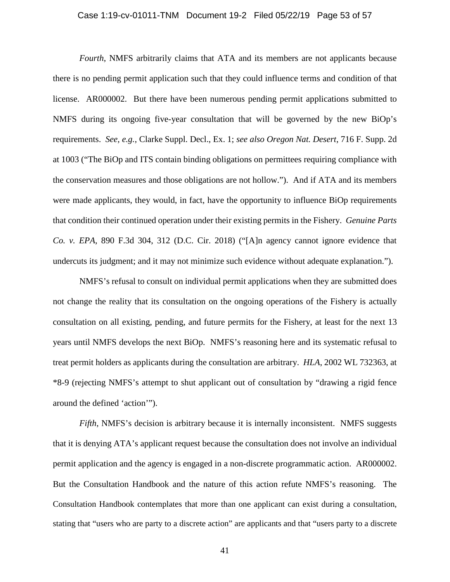#### Case 1:19-cv-01011-TNM Document 19-2 Filed 05/22/19 Page 53 of 57

*Fourth*, NMFS arbitrarily claims that ATA and its members are not applicants because there is no pending permit application such that they could influence terms and condition of that license. AR000002. But there have been numerous pending permit applications submitted to NMFS during its ongoing five-year consultation that will be governed by the new BiOp's requirements. *See, e.g.*, Clarke Suppl. Decl., Ex. 1; *see also Oregon Nat. Desert*, 716 F. Supp. 2d at 1003 ("The BiOp and ITS contain binding obligations on permittees requiring compliance with the conservation measures and those obligations are not hollow."). And if ATA and its members were made applicants, they would, in fact, have the opportunity to influence BiOp requirements that condition their continued operation under their existing permits in the Fishery. *Genuine Parts Co. v. EPA*, 890 F.3d 304, 312 (D.C. Cir. 2018) ("[A]n agency cannot ignore evidence that undercuts its judgment; and it may not minimize such evidence without adequate explanation.").

NMFS's refusal to consult on individual permit applications when they are submitted does not change the reality that its consultation on the ongoing operations of the Fishery is actually consultation on all existing, pending, and future permits for the Fishery, at least for the next 13 years until NMFS develops the next BiOp. NMFS's reasoning here and its systematic refusal to treat permit holders as applicants during the consultation are arbitrary. *HLA*, 2002 WL 732363, at \*8-9 (rejecting NMFS's attempt to shut applicant out of consultation by "drawing a rigid fence around the defined 'action'").

*Fifth*, NMFS's decision is arbitrary because it is internally inconsistent. NMFS suggests that it is denying ATA's applicant request because the consultation does not involve an individual permit application and the agency is engaged in a non-discrete programmatic action. AR000002. But the Consultation Handbook and the nature of this action refute NMFS's reasoning. The Consultation Handbook contemplates that more than one applicant can exist during a consultation, stating that "users who are party to a discrete action" are applicants and that "users party to a discrete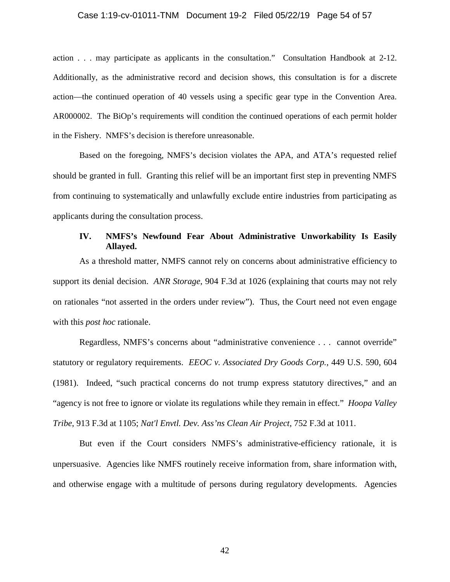#### Case 1:19-cv-01011-TNM Document 19-2 Filed 05/22/19 Page 54 of 57

action . . . may participate as applicants in the consultation." Consultation Handbook at 2-12. Additionally, as the administrative record and decision shows, this consultation is for a discrete action—the continued operation of 40 vessels using a specific gear type in the Convention Area. AR000002. The BiOp's requirements will condition the continued operations of each permit holder in the Fishery. NMFS's decision is therefore unreasonable.

Based on the foregoing, NMFS's decision violates the APA, and ATA's requested relief should be granted in full. Granting this relief will be an important first step in preventing NMFS from continuing to systematically and unlawfully exclude entire industries from participating as applicants during the consultation process.

# **IV. NMFS's Newfound Fear About Administrative Unworkability Is Easily Allayed.**

As a threshold matter, NMFS cannot rely on concerns about administrative efficiency to support its denial decision. *ANR Storage*, 904 F.3d at 1026 (explaining that courts may not rely on rationales "not asserted in the orders under review"). Thus, the Court need not even engage with this *post hoc* rationale.

Regardless, NMFS's concerns about "administrative convenience . . . cannot override" statutory or regulatory requirements. *EEOC v. Associated Dry Goods Corp.*, 449 U.S. 590, 604 (1981). Indeed, "such practical concerns do not trump express statutory directives," and an "agency is not free to ignore or violate its regulations while they remain in effect." *Hoopa Valley Tribe*, 913 F.3d at 1105; *Nat'l Envtl. Dev. Ass'ns Clean Air Project*, 752 F.3d at 1011.

But even if the Court considers NMFS's administrative-efficiency rationale, it is unpersuasive. Agencies like NMFS routinely receive information from, share information with, and otherwise engage with a multitude of persons during regulatory developments. Agencies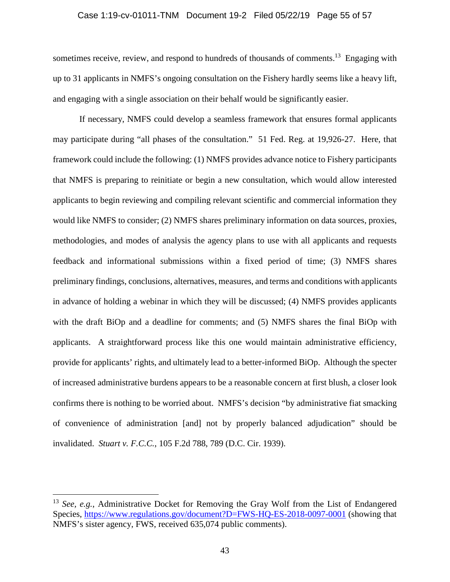#### Case 1:19-cv-01011-TNM Document 19-2 Filed 05/22/19 Page 55 of 57

sometimes receive, review, and respond to hundreds of thousands of comments.<sup>13</sup> Engaging with up to 31 applicants in NMFS's ongoing consultation on the Fishery hardly seems like a heavy lift, and engaging with a single association on their behalf would be significantly easier.

If necessary, NMFS could develop a seamless framework that ensures formal applicants may participate during "all phases of the consultation." 51 Fed. Reg. at 19,926-27. Here, that framework could include the following: (1) NMFS provides advance notice to Fishery participants that NMFS is preparing to reinitiate or begin a new consultation, which would allow interested applicants to begin reviewing and compiling relevant scientific and commercial information they would like NMFS to consider; (2) NMFS shares preliminary information on data sources, proxies, methodologies, and modes of analysis the agency plans to use with all applicants and requests feedback and informational submissions within a fixed period of time; (3) NMFS shares preliminary findings, conclusions, alternatives, measures, and terms and conditions with applicants in advance of holding a webinar in which they will be discussed; (4) NMFS provides applicants with the draft BiOp and a deadline for comments; and (5) NMFS shares the final BiOp with applicants. A straightforward process like this one would maintain administrative efficiency, provide for applicants' rights, and ultimately lead to a better-informed BiOp. Although the specter of increased administrative burdens appears to be a reasonable concern at first blush, a closer look confirms there is nothing to be worried about. NMFS's decision "by administrative fiat smacking of convenience of administration [and] not by properly balanced adjudication" should be invalidated. *Stuart v. F.C.C.*, 105 F.2d 788, 789 (D.C. Cir. 1939).

<sup>13</sup> *See, e.g.*, Administrative Docket for Removing the Gray Wolf from the List of Endangered Species, https://www.regulations.gov/document?D=FWS-HQ-ES-2018-0097-0001 (showing that NMFS's sister agency, FWS, received 635,074 public comments).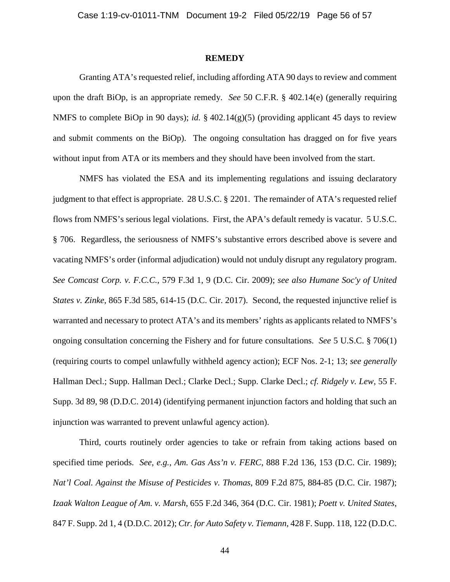#### **REMEDY**

Granting ATA's requested relief, including affording ATA 90 days to review and comment upon the draft BiOp, is an appropriate remedy. *See* 50 C.F.R. § 402.14(e) (generally requiring NMFS to complete BiOp in 90 days); *id.* § 402.14(g)(5) (providing applicant 45 days to review and submit comments on the BiOp). The ongoing consultation has dragged on for five years without input from ATA or its members and they should have been involved from the start.

NMFS has violated the ESA and its implementing regulations and issuing declaratory judgment to that effect is appropriate. 28 U.S.C. § 2201. The remainder of ATA's requested relief flows from NMFS's serious legal violations. First, the APA's default remedy is vacatur. 5 U.S.C. § 706. Regardless, the seriousness of NMFS's substantive errors described above is severe and vacating NMFS's order (informal adjudication) would not unduly disrupt any regulatory program. *See Comcast Corp. v. F.C.C.*, 579 F.3d 1, 9 (D.C. Cir. 2009); *see also Humane Soc'y of United States v. Zinke*, 865 F.3d 585, 614-15 (D.C. Cir. 2017). Second, the requested injunctive relief is warranted and necessary to protect ATA's and its members' rights as applicants related to NMFS's ongoing consultation concerning the Fishery and for future consultations. *See* 5 U.S.C. § 706(1) (requiring courts to compel unlawfully withheld agency action); ECF Nos. 2-1; 13; *see generally* Hallman Decl.; Supp. Hallman Decl.; Clarke Decl.; Supp. Clarke Decl.; *cf. Ridgely v. Lew*, 55 F. Supp. 3d 89, 98 (D.D.C. 2014) (identifying permanent injunction factors and holding that such an injunction was warranted to prevent unlawful agency action).

Third, courts routinely order agencies to take or refrain from taking actions based on specified time periods. *See, e.g.*, *Am. Gas Ass'n v. FERC*, 888 F.2d 136, 153 (D.C. Cir. 1989); *Nat'l Coal. Against the Misuse of Pesticides v. Thomas*, 809 F.2d 875, 884-85 (D.C. Cir. 1987); *Izaak Walton League of Am. v. Marsh*, 655 F.2d 346, 364 (D.C. Cir. 1981); *Poett v. United States*, 847 F. Supp. 2d 1, 4 (D.D.C. 2012); *Ctr. for Auto Safety v. Tiemann*, 428 F. Supp. 118, 122 (D.D.C.